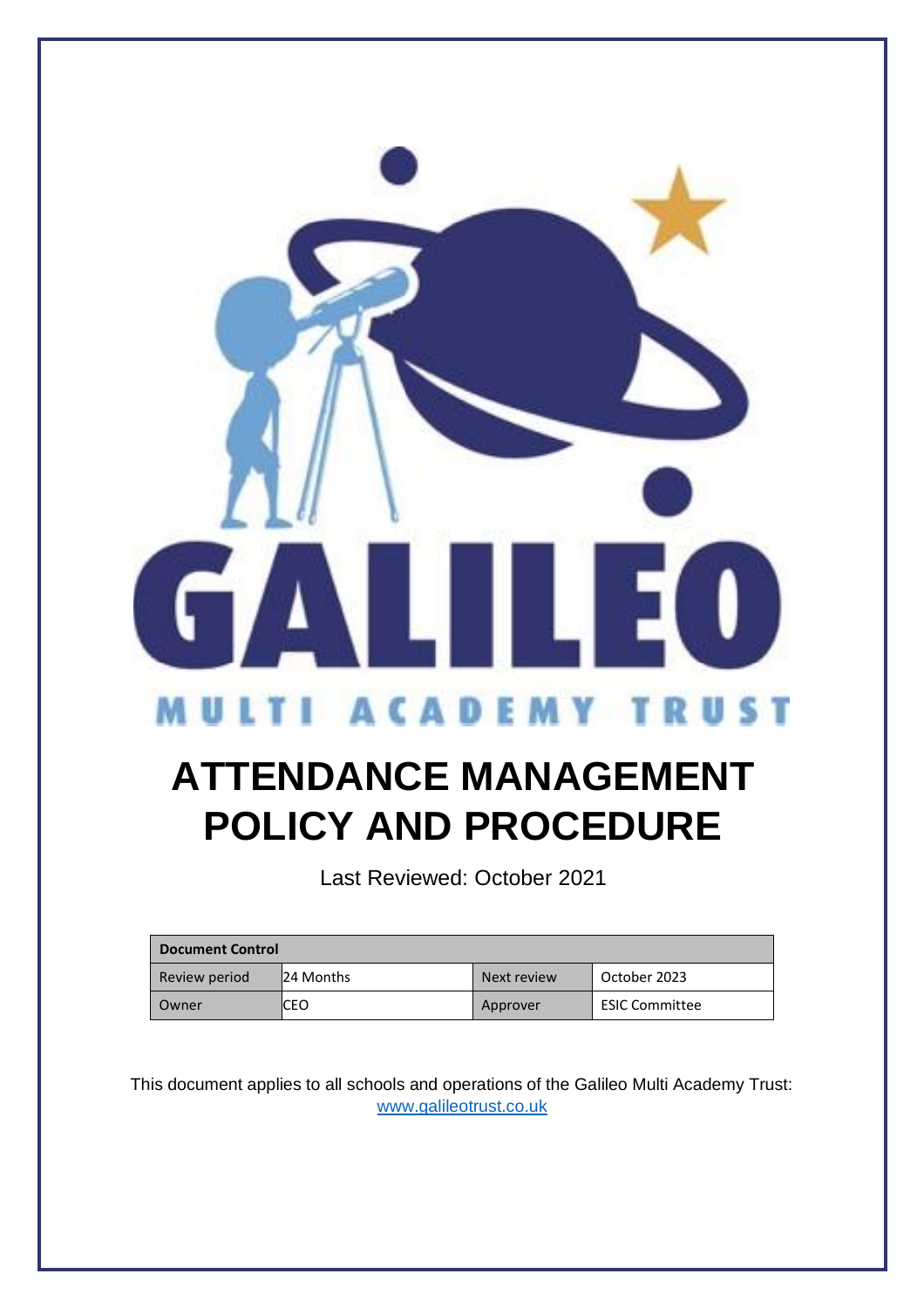

# **ATTENDANCE MANAGEMENT**

**POLICY AND PROCEDURE**

Last Reviewed: October 2021

| <b>Document Control</b> |           |             |                       |
|-------------------------|-----------|-------------|-----------------------|
| Review period           | 24 Months | Next review | October 2023          |
| l Owner                 | CEO       | Approver    | <b>ESIC Committee</b> |

This document applies to all schools and operations of the Galileo Multi Academy Trust: [www.galileotrust.co.uk](http://www.galileotrust.co.uk/)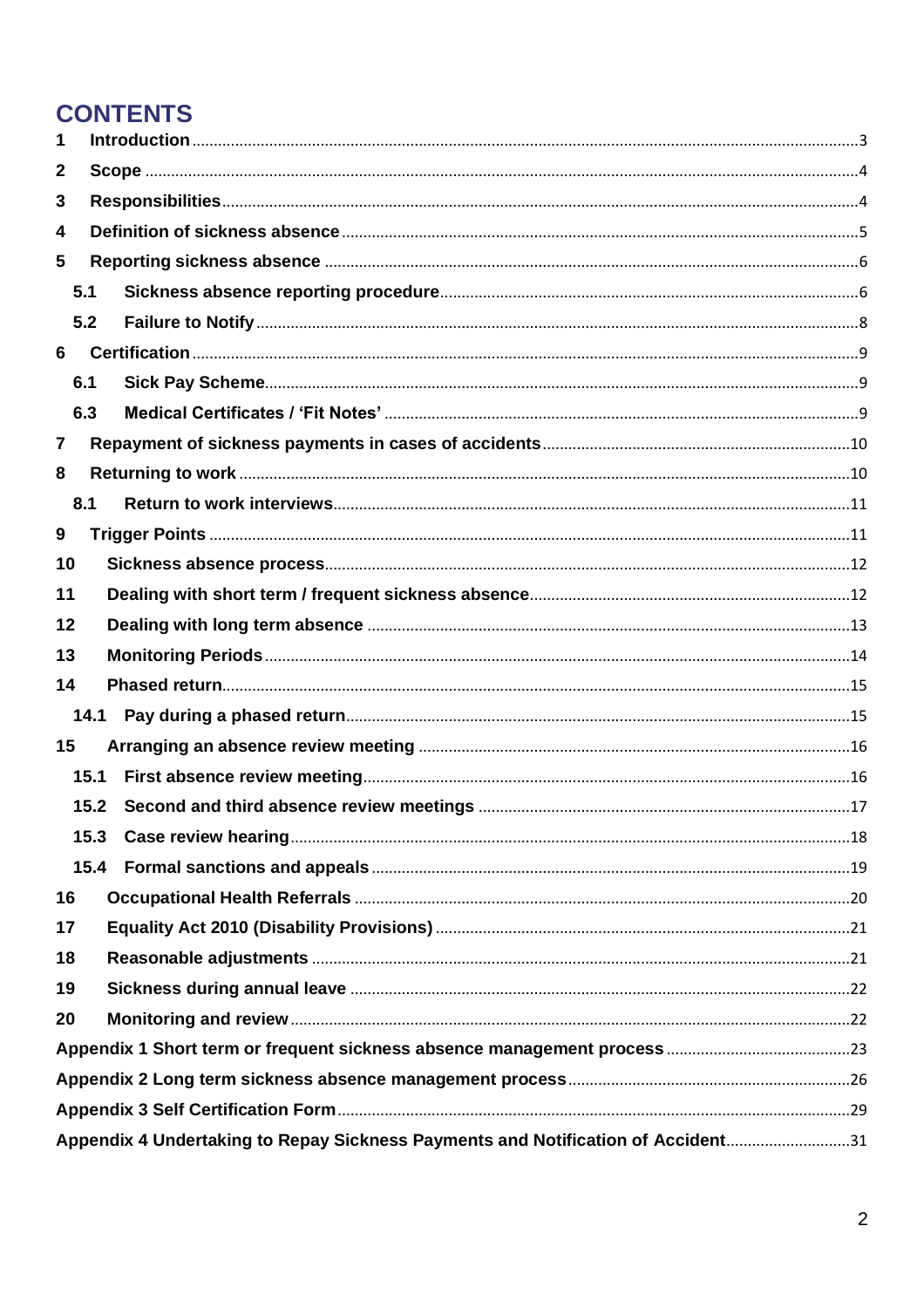## **CONTENTS**

| 1            |      |                                                                                  |  |  |  |
|--------------|------|----------------------------------------------------------------------------------|--|--|--|
| $\mathbf{2}$ |      |                                                                                  |  |  |  |
| 3            |      |                                                                                  |  |  |  |
| 4            |      |                                                                                  |  |  |  |
| 5            |      |                                                                                  |  |  |  |
|              | 5.1  |                                                                                  |  |  |  |
|              | 5.2  |                                                                                  |  |  |  |
| 6            |      |                                                                                  |  |  |  |
|              | 6.1  |                                                                                  |  |  |  |
|              | 6.3  |                                                                                  |  |  |  |
| 7            |      |                                                                                  |  |  |  |
| 8            |      |                                                                                  |  |  |  |
|              | 8.1  |                                                                                  |  |  |  |
| 9            |      |                                                                                  |  |  |  |
| 10           |      |                                                                                  |  |  |  |
| 11           |      |                                                                                  |  |  |  |
| 12           |      |                                                                                  |  |  |  |
| 13           |      |                                                                                  |  |  |  |
| 14           |      |                                                                                  |  |  |  |
|              | 14.1 |                                                                                  |  |  |  |
| 15           |      |                                                                                  |  |  |  |
|              | 15.1 |                                                                                  |  |  |  |
|              | 15.2 |                                                                                  |  |  |  |
|              | 15.3 |                                                                                  |  |  |  |
|              | 15.4 |                                                                                  |  |  |  |
| 16           |      |                                                                                  |  |  |  |
| 17           |      |                                                                                  |  |  |  |
| 18           |      |                                                                                  |  |  |  |
| 19           |      |                                                                                  |  |  |  |
| 20           |      |                                                                                  |  |  |  |
|              |      |                                                                                  |  |  |  |
|              |      |                                                                                  |  |  |  |
|              |      |                                                                                  |  |  |  |
|              |      | Appendix 4 Undertaking to Repay Sickness Payments and Notification of Accident31 |  |  |  |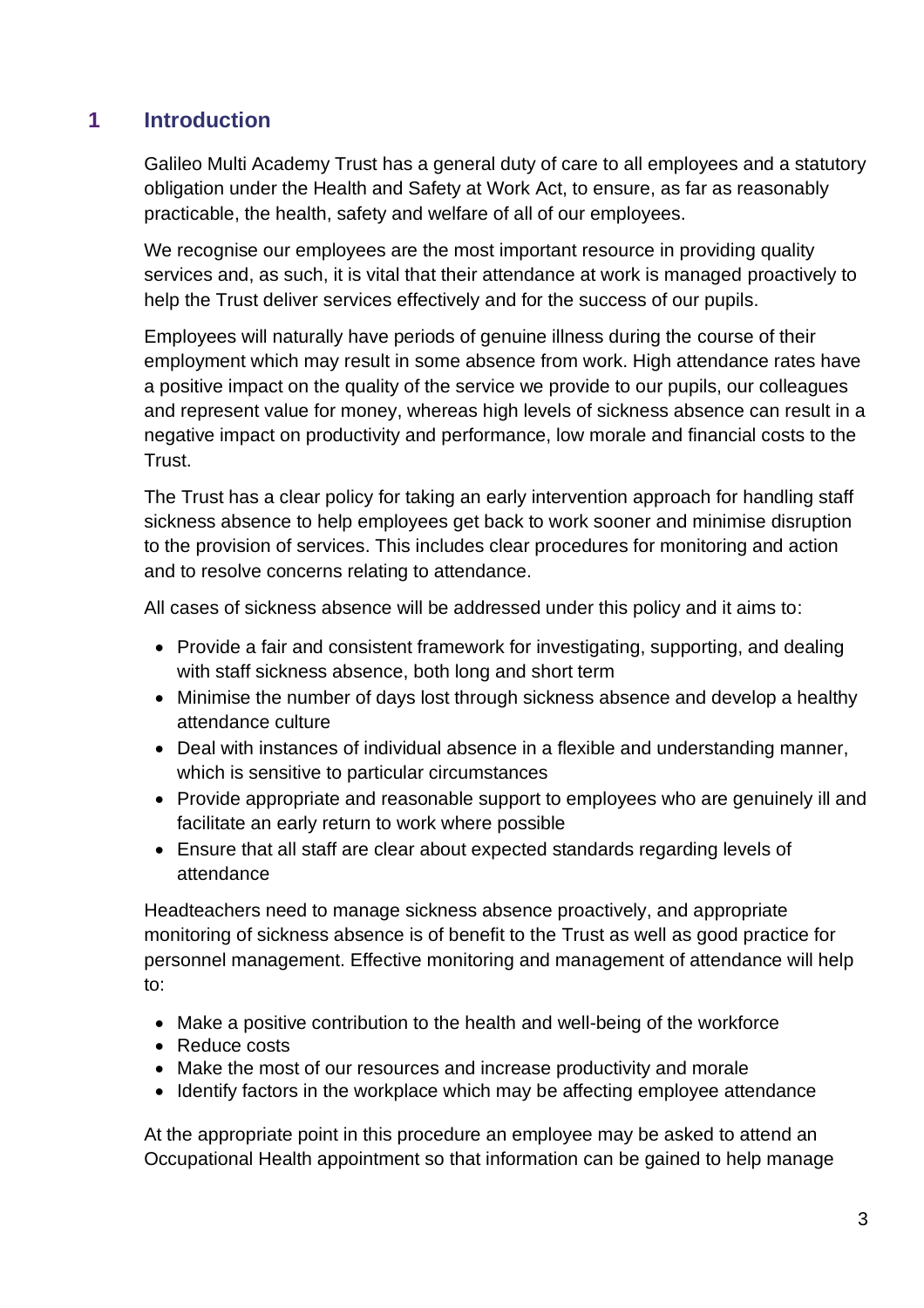## <span id="page-2-0"></span>**1 Introduction**

Galileo Multi Academy Trust has a general duty of care to all employees and a statutory obligation under the Health and Safety at Work Act, to ensure, as far as reasonably practicable, the health, safety and welfare of all of our employees.

We recognise our employees are the most important resource in providing quality services and, as such, it is vital that their attendance at work is managed proactively to help the Trust deliver services effectively and for the success of our pupils.

Employees will naturally have periods of genuine illness during the course of their employment which may result in some absence from work. High attendance rates have a positive impact on the quality of the service we provide to our pupils, our colleagues and represent value for money, whereas high levels of sickness absence can result in a negative impact on productivity and performance, low morale and financial costs to the Trust.

The Trust has a clear policy for taking an early intervention approach for handling staff sickness absence to help employees get back to work sooner and minimise disruption to the provision of services. This includes clear procedures for monitoring and action and to resolve concerns relating to attendance.

All cases of sickness absence will be addressed under this policy and it aims to:

- Provide a fair and consistent framework for investigating, supporting, and dealing with staff sickness absence, both long and short term
- Minimise the number of days lost through sickness absence and develop a healthy attendance culture
- Deal with instances of individual absence in a flexible and understanding manner, which is sensitive to particular circumstances
- Provide appropriate and reasonable support to employees who are genuinely ill and facilitate an early return to work where possible
- Ensure that all staff are clear about expected standards regarding levels of attendance

Headteachers need to manage sickness absence proactively, and appropriate monitoring of sickness absence is of benefit to the Trust as well as good practice for personnel management. Effective monitoring and management of attendance will help to:

- Make a positive contribution to the health and well-being of the workforce
- Reduce costs
- Make the most of our resources and increase productivity and morale
- Identify factors in the workplace which may be affecting employee attendance

At the appropriate point in this procedure an employee may be asked to attend an Occupational Health appointment so that information can be gained to help manage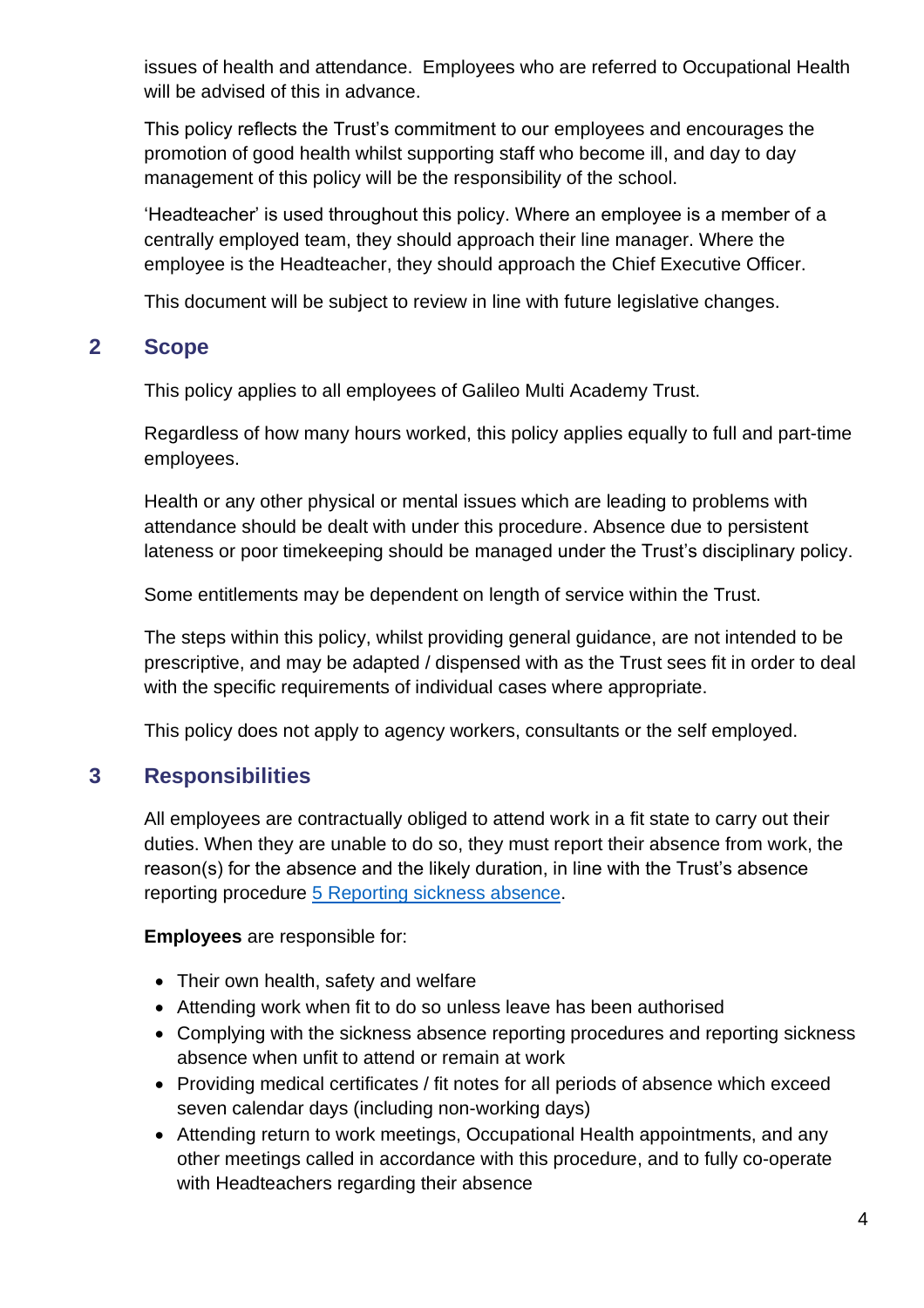issues of health and attendance. Employees who are referred to Occupational Health will be advised of this in advance.

This policy reflects the Trust's commitment to our employees and encourages the promotion of good health whilst supporting staff who become ill, and day to day management of this policy will be the responsibility of the school.

'Headteacher' is used throughout this policy. Where an employee is a member of a centrally employed team, they should approach their line manager. Where the employee is the Headteacher, they should approach the Chief Executive Officer.

This document will be subject to review in line with future legislative changes.

## <span id="page-3-0"></span>**2 Scope**

This policy applies to all employees of Galileo Multi Academy Trust.

Regardless of how many hours worked, this policy applies equally to full and part-time employees.

Health or any other physical or mental issues which are leading to problems with attendance should be dealt with under this procedure. Absence due to persistent lateness or poor timekeeping should be managed under the Trust's disciplinary policy.

Some entitlements may be dependent on length of service within the Trust.

The steps within this policy, whilst providing general guidance, are not intended to be prescriptive, and may be adapted / dispensed with as the Trust sees fit in order to deal with the specific requirements of individual cases where appropriate.

This policy does not apply to agency workers, consultants or the self employed.

## <span id="page-3-1"></span>**3 Responsibilities**

All employees are contractually obliged to attend work in a fit state to carry out their duties. When they are unable to do so, they must report their absence from work, the reason(s) for the absence and the likely duration, in line with the Trust's absence reporting procedure [5 Reporting sickness absence.](#page-5-0)

**Employees** are responsible for:

- Their own health, safety and welfare
- Attending work when fit to do so unless leave has been authorised
- Complying with the sickness absence reporting procedures and reporting sickness absence when unfit to attend or remain at work
- Providing medical certificates / fit notes for all periods of absence which exceed seven calendar days (including non-working days)
- Attending return to work meetings, Occupational Health appointments, and any other meetings called in accordance with this procedure, and to fully co-operate with Headteachers regarding their absence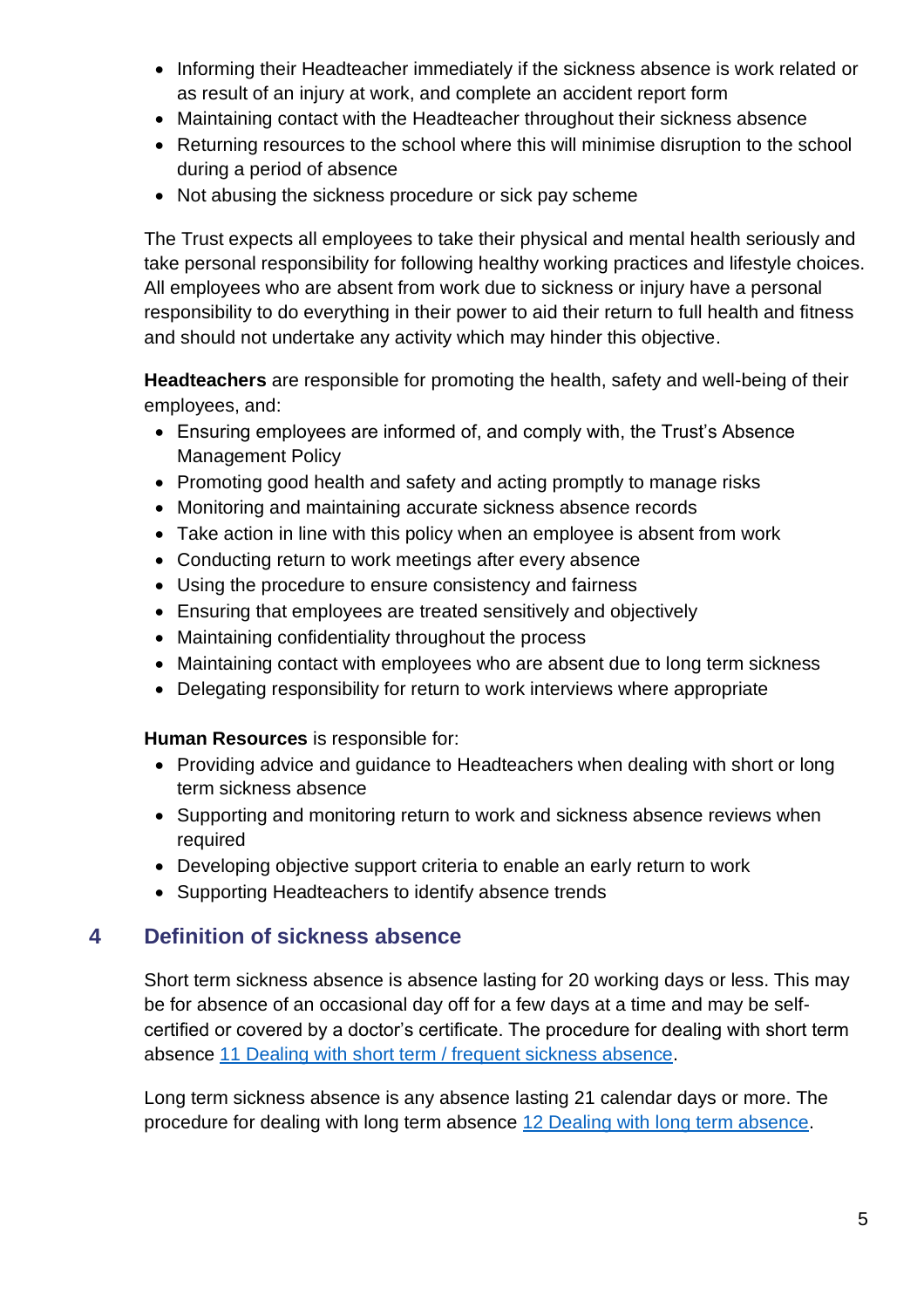- Informing their Headteacher immediately if the sickness absence is work related or as result of an injury at work, and complete an accident report form
- Maintaining contact with the Headteacher throughout their sickness absence
- Returning resources to the school where this will minimise disruption to the school during a period of absence
- Not abusing the sickness procedure or sick pay scheme

The Trust expects all employees to take their physical and mental health seriously and take personal responsibility for following healthy working practices and lifestyle choices. All employees who are absent from work due to sickness or injury have a personal responsibility to do everything in their power to aid their return to full health and fitness and should not undertake any activity which may hinder this objective.

**Headteachers** are responsible for promoting the health, safety and well-being of their employees, and:

- Ensuring employees are informed of, and comply with, the Trust's Absence Management Policy
- Promoting good health and safety and acting promptly to manage risks
- Monitoring and maintaining accurate sickness absence records
- Take action in line with this policy when an employee is absent from work
- Conducting return to work meetings after every absence
- Using the procedure to ensure consistency and fairness
- Ensuring that employees are treated sensitively and objectively
- Maintaining confidentiality throughout the process
- Maintaining contact with employees who are absent due to long term sickness
- Delegating responsibility for return to work interviews where appropriate

**Human Resources** is responsible for:

- Providing advice and guidance to Headteachers when dealing with short or long term sickness absence
- Supporting and monitoring return to work and sickness absence reviews when required
- Developing objective support criteria to enable an early return to work
- Supporting Headteachers to identify absence trends

## <span id="page-4-0"></span>**4 Definition of sickness absence**

Short term sickness absence is absence lasting for 20 working days or less. This may be for absence of an occasional day off for a few days at a time and may be selfcertified or covered by a doctor's certificate. The procedure for dealing with short term absence 11 Dealing with [short term / frequent sickness absence.](#page-11-1)

Long term sickness absence is any absence lasting 21 calendar days or more. The procedure for dealing with long term absence 12 Dealing with [long term absence.](#page-12-0)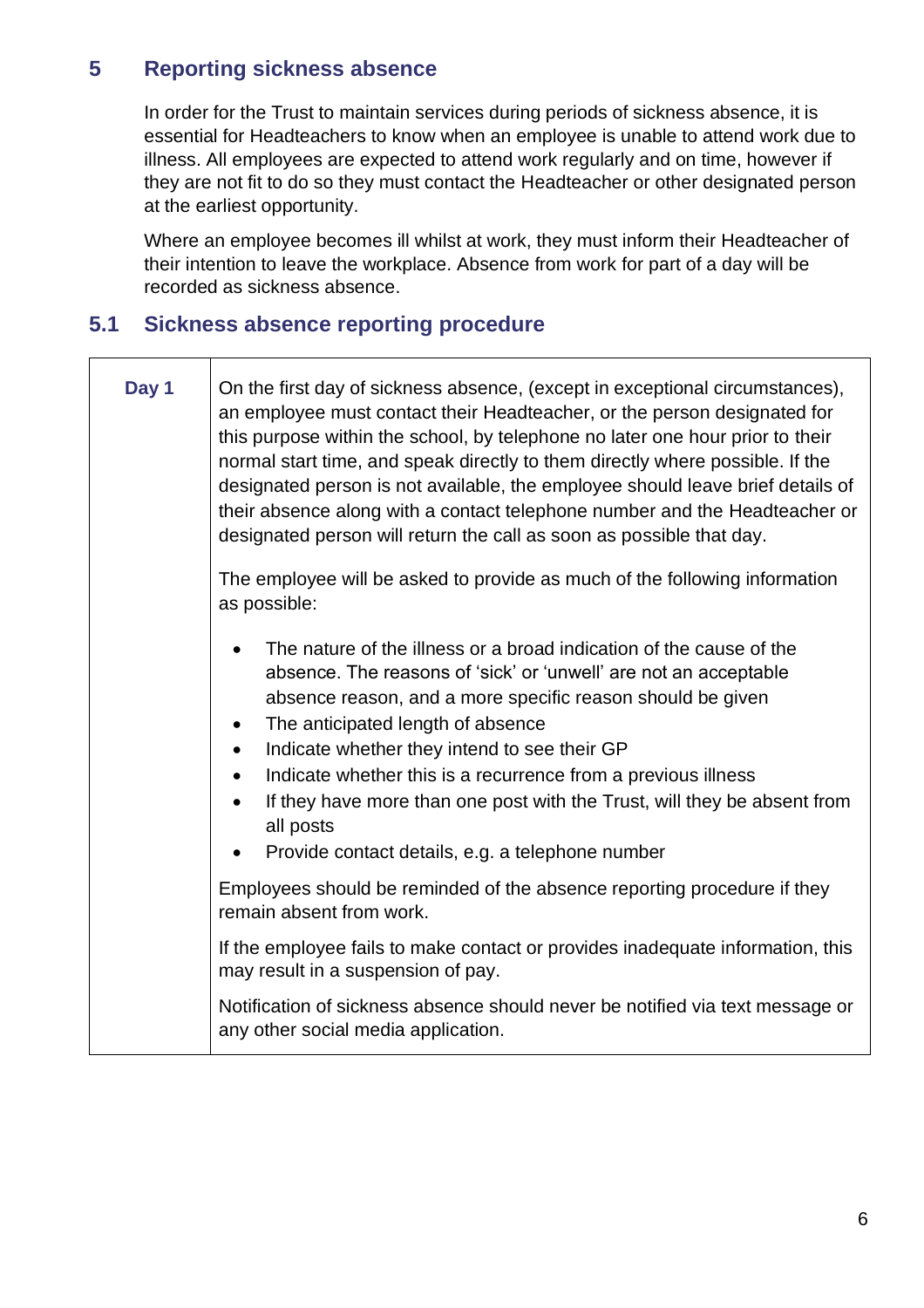## <span id="page-5-0"></span>**5 Reporting sickness absence**

Τ

 $\Gamma$ 

In order for the Trust to maintain services during periods of sickness absence, it is essential for Headteachers to know when an employee is unable to attend work due to illness. All employees are expected to attend work regularly and on time, however if they are not fit to do so they must contact the Headteacher or other designated person at the earliest opportunity.

Where an employee becomes ill whilst at work, they must inform their Headteacher of their intention to leave the workplace. Absence from work for part of a day will be recorded as sickness absence.

## <span id="page-5-1"></span>**5.1 Sickness absence reporting procedure**

| Day 1 | On the first day of sickness absence, (except in exceptional circumstances),<br>an employee must contact their Headteacher, or the person designated for<br>this purpose within the school, by telephone no later one hour prior to their<br>normal start time, and speak directly to them directly where possible. If the<br>designated person is not available, the employee should leave brief details of<br>their absence along with a contact telephone number and the Headteacher or<br>designated person will return the call as soon as possible that day. |
|-------|--------------------------------------------------------------------------------------------------------------------------------------------------------------------------------------------------------------------------------------------------------------------------------------------------------------------------------------------------------------------------------------------------------------------------------------------------------------------------------------------------------------------------------------------------------------------|
|       | The employee will be asked to provide as much of the following information<br>as possible:                                                                                                                                                                                                                                                                                                                                                                                                                                                                         |
|       | The nature of the illness or a broad indication of the cause of the<br>absence. The reasons of 'sick' or 'unwell' are not an acceptable<br>absence reason, and a more specific reason should be given<br>The anticipated length of absence<br>$\bullet$<br>Indicate whether they intend to see their GP<br>$\bullet$<br>Indicate whether this is a recurrence from a previous illness<br>٠<br>If they have more than one post with the Trust, will they be absent from<br>all posts<br>Provide contact details, e.g. a telephone number                            |
|       | Employees should be reminded of the absence reporting procedure if they<br>remain absent from work.                                                                                                                                                                                                                                                                                                                                                                                                                                                                |
|       | If the employee fails to make contact or provides inadequate information, this<br>may result in a suspension of pay.                                                                                                                                                                                                                                                                                                                                                                                                                                               |
|       | Notification of sickness absence should never be notified via text message or<br>any other social media application.                                                                                                                                                                                                                                                                                                                                                                                                                                               |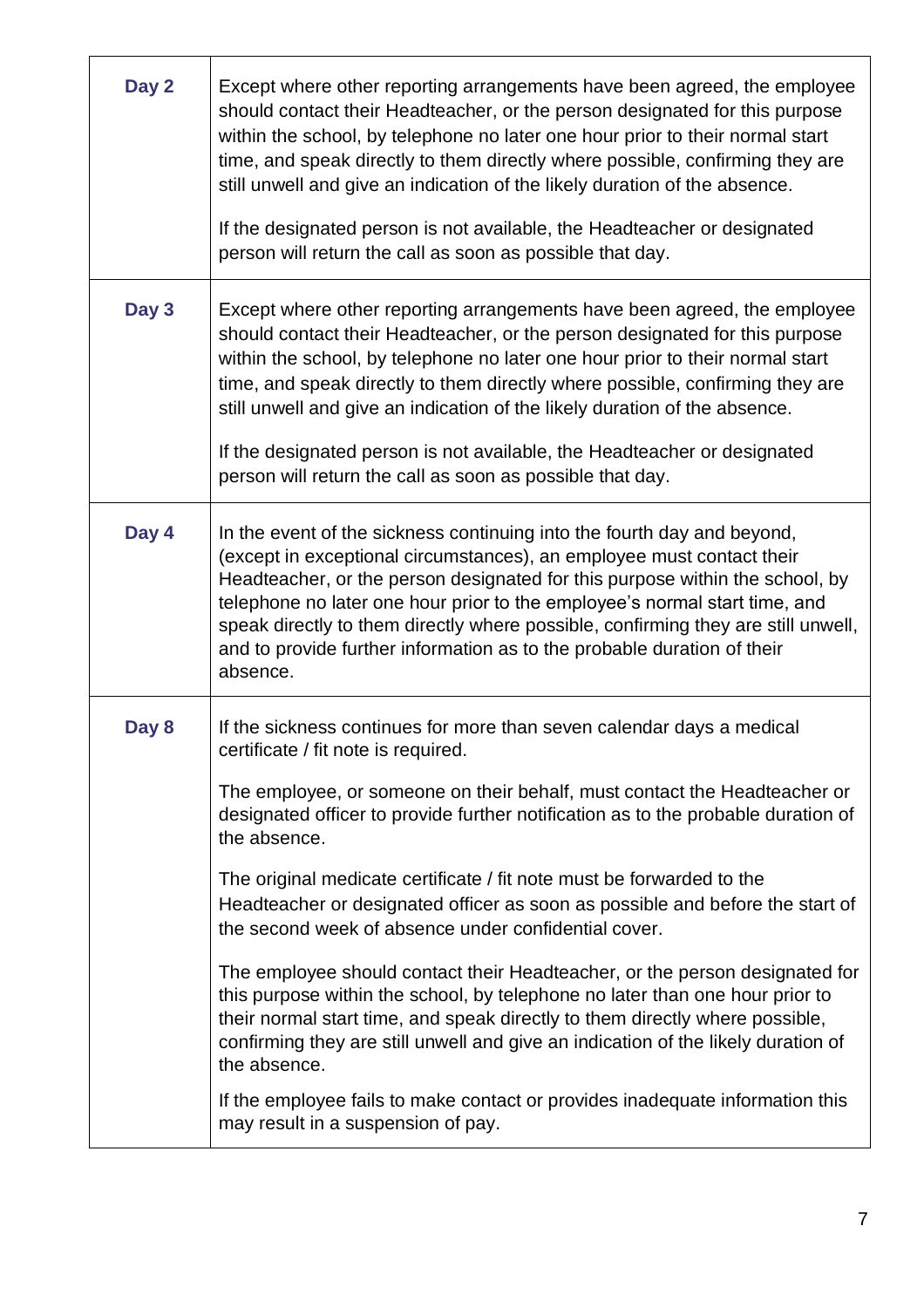| Day 2 | Except where other reporting arrangements have been agreed, the employee<br>should contact their Headteacher, or the person designated for this purpose<br>within the school, by telephone no later one hour prior to their normal start<br>time, and speak directly to them directly where possible, confirming they are<br>still unwell and give an indication of the likely duration of the absence.<br>If the designated person is not available, the Headteacher or designated<br>person will return the call as soon as possible that day.                                                                                                                                                                                                                                                                                                                                                                                                                                            |
|-------|---------------------------------------------------------------------------------------------------------------------------------------------------------------------------------------------------------------------------------------------------------------------------------------------------------------------------------------------------------------------------------------------------------------------------------------------------------------------------------------------------------------------------------------------------------------------------------------------------------------------------------------------------------------------------------------------------------------------------------------------------------------------------------------------------------------------------------------------------------------------------------------------------------------------------------------------------------------------------------------------|
| Day 3 | Except where other reporting arrangements have been agreed, the employee<br>should contact their Headteacher, or the person designated for this purpose<br>within the school, by telephone no later one hour prior to their normal start<br>time, and speak directly to them directly where possible, confirming they are<br>still unwell and give an indication of the likely duration of the absence.<br>If the designated person is not available, the Headteacher or designated<br>person will return the call as soon as possible that day.                                                                                                                                                                                                                                                                                                                                                                                                                                            |
| Day 4 | In the event of the sickness continuing into the fourth day and beyond,<br>(except in exceptional circumstances), an employee must contact their<br>Headteacher, or the person designated for this purpose within the school, by<br>telephone no later one hour prior to the employee's normal start time, and<br>speak directly to them directly where possible, confirming they are still unwell,<br>and to provide further information as to the probable duration of their<br>absence.                                                                                                                                                                                                                                                                                                                                                                                                                                                                                                  |
| Day 8 | If the sickness continues for more than seven calendar days a medical<br>certificate / fit note is required.<br>The employee, or someone on their behalf, must contact the Headteacher or<br>designated officer to provide further notification as to the probable duration of<br>the absence.<br>The original medicate certificate / fit note must be forwarded to the<br>Headteacher or designated officer as soon as possible and before the start of<br>the second week of absence under confidential cover.<br>The employee should contact their Headteacher, or the person designated for<br>this purpose within the school, by telephone no later than one hour prior to<br>their normal start time, and speak directly to them directly where possible,<br>confirming they are still unwell and give an indication of the likely duration of<br>the absence.<br>If the employee fails to make contact or provides inadequate information this<br>may result in a suspension of pay. |

**r**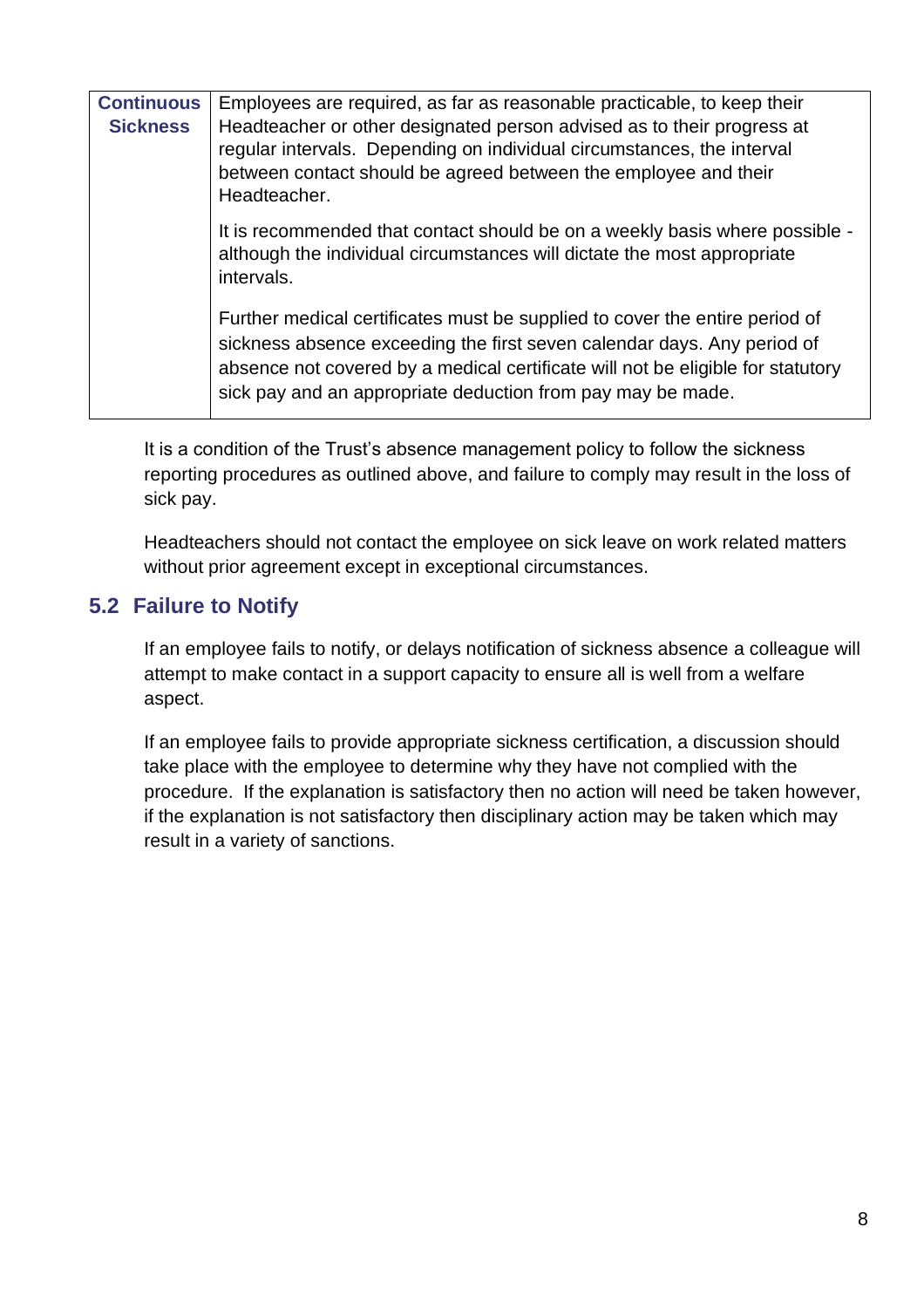| <b>Continuous</b><br><b>Sickness</b> | Employees are required, as far as reasonable practicable, to keep their<br>Headteacher or other designated person advised as to their progress at<br>regular intervals. Depending on individual circumstances, the interval<br>between contact should be agreed between the employee and their<br>Headteacher. |
|--------------------------------------|----------------------------------------------------------------------------------------------------------------------------------------------------------------------------------------------------------------------------------------------------------------------------------------------------------------|
|                                      | It is recommended that contact should be on a weekly basis where possible -<br>although the individual circumstances will dictate the most appropriate<br>intervals.                                                                                                                                           |
|                                      | Further medical certificates must be supplied to cover the entire period of<br>sickness absence exceeding the first seven calendar days. Any period of<br>absence not covered by a medical certificate will not be eligible for statutory<br>sick pay and an appropriate deduction from pay may be made.       |

It is a condition of the Trust's absence management policy to follow the sickness reporting procedures as outlined above, and failure to comply may result in the loss of sick pay.

Headteachers should not contact the employee on sick leave on work related matters without prior agreement except in exceptional circumstances.

## <span id="page-7-0"></span>**5.2 Failure to Notify**

If an employee fails to notify, or delays notification of sickness absence a colleague will attempt to make contact in a support capacity to ensure all is well from a welfare aspect.

If an employee fails to provide appropriate sickness certification, a discussion should take place with the employee to determine why they have not complied with the procedure. If the explanation is satisfactory then no action will need be taken however, if the explanation is not satisfactory then disciplinary action may be taken which may result in a variety of sanctions.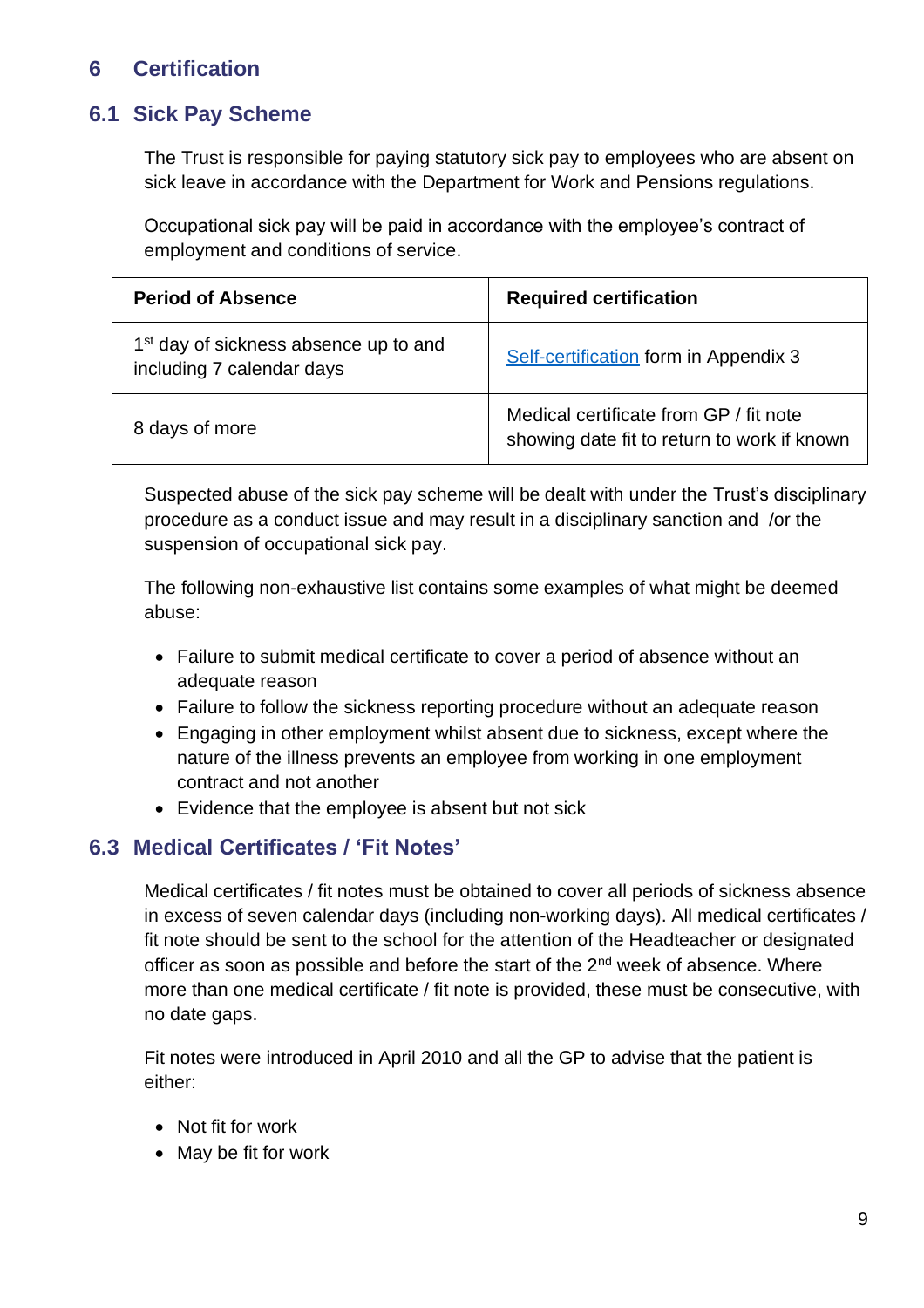## <span id="page-8-0"></span>**6 Certification**

## <span id="page-8-1"></span>**6.1 Sick Pay Scheme**

The Trust is responsible for paying statutory sick pay to employees who are absent on sick leave in accordance with the Department for Work and Pensions regulations.

Occupational sick pay will be paid in accordance with the employee's contract of employment and conditions of service.

| <b>Period of Absence</b>                                                       | <b>Required certification</b>                                                         |  |
|--------------------------------------------------------------------------------|---------------------------------------------------------------------------------------|--|
| 1 <sup>st</sup> day of sickness absence up to and<br>including 7 calendar days | Self-certification form in Appendix 3                                                 |  |
| 8 days of more                                                                 | Medical certificate from GP / fit note<br>showing date fit to return to work if known |  |

Suspected abuse of the sick pay scheme will be dealt with under the Trust's disciplinary procedure as a conduct issue and may result in a disciplinary sanction and /or the suspension of occupational sick pay.

The following non-exhaustive list contains some examples of what might be deemed abuse:

- Failure to submit medical certificate to cover a period of absence without an adequate reason
- Failure to follow the sickness reporting procedure without an adequate reason
- Engaging in other employment whilst absent due to sickness, except where the nature of the illness prevents an employee from working in one employment contract and not another
- Evidence that the employee is absent but not sick

#### <span id="page-8-2"></span>**6.3 Medical Certificates / 'Fit Notes'**

Medical certificates / fit notes must be obtained to cover all periods of sickness absence in excess of seven calendar days (including non-working days). All medical certificates / fit note should be sent to the school for the attention of the Headteacher or designated officer as soon as possible and before the start of the 2<sup>nd</sup> week of absence. Where more than one medical certificate / fit note is provided, these must be consecutive, with no date gaps.

Fit notes were introduced in April 2010 and all the GP to advise that the patient is either:

- Not fit for work
- May be fit for work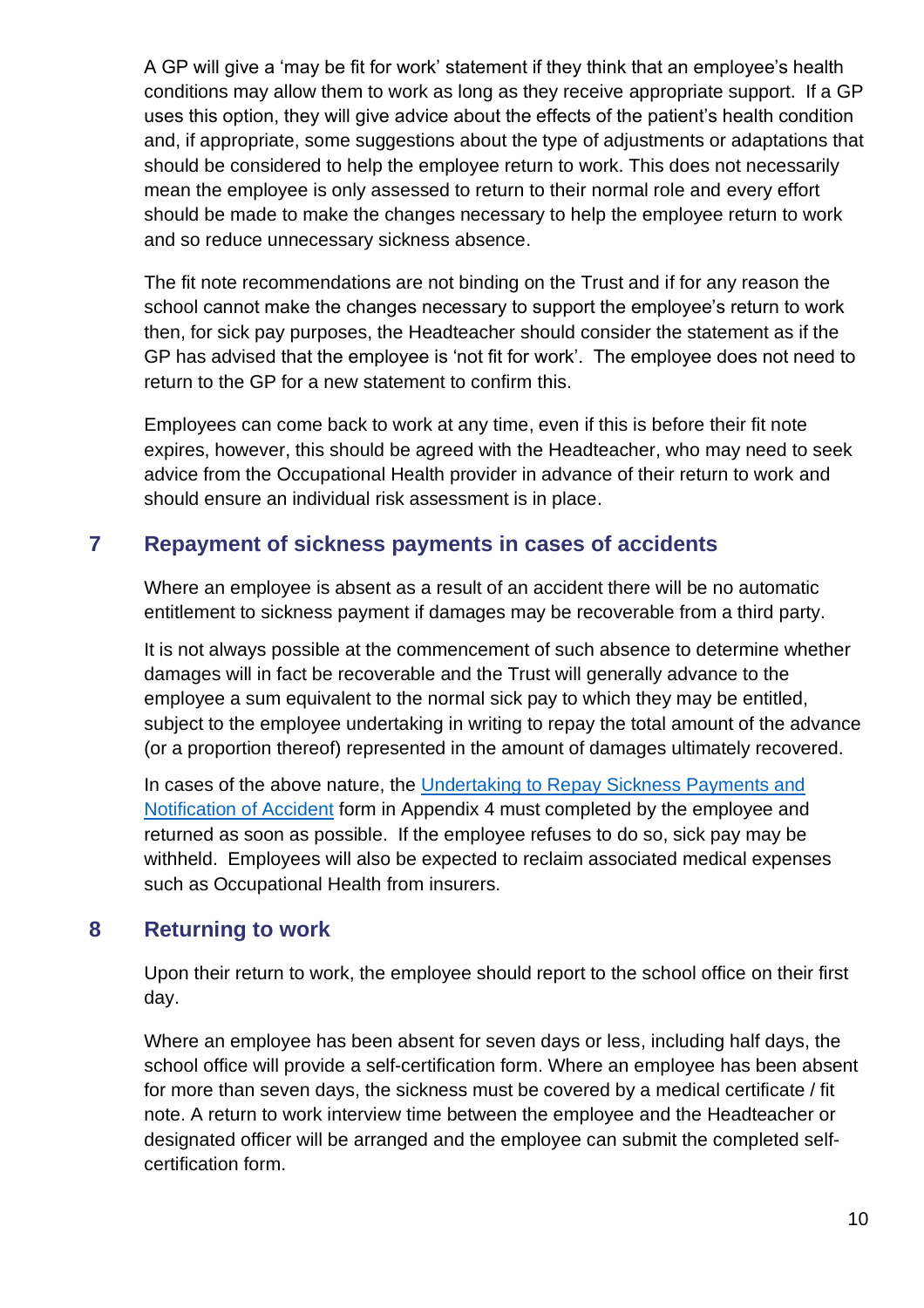A GP will give a 'may be fit for work' statement if they think that an employee's health conditions may allow them to work as long as they receive appropriate support. If a GP uses this option, they will give advice about the effects of the patient's health condition and, if appropriate, some suggestions about the type of adjustments or adaptations that should be considered to help the employee return to work. This does not necessarily mean the employee is only assessed to return to their normal role and every effort should be made to make the changes necessary to help the employee return to work and so reduce unnecessary sickness absence.

The fit note recommendations are not binding on the Trust and if for any reason the school cannot make the changes necessary to support the employee's return to work then, for sick pay purposes, the Headteacher should consider the statement as if the GP has advised that the employee is 'not fit for work'. The employee does not need to return to the GP for a new statement to confirm this.

Employees can come back to work at any time, even if this is before their fit note expires, however, this should be agreed with the Headteacher, who may need to seek advice from the Occupational Health provider in advance of their return to work and should ensure an individual risk assessment is in place.

## <span id="page-9-0"></span>**7 Repayment of sickness payments in cases of accidents**

Where an employee is absent as a result of an accident there will be no automatic entitlement to sickness payment if damages may be recoverable from a third party.

It is not always possible at the commencement of such absence to determine whether damages will in fact be recoverable and the Trust will generally advance to the employee a sum equivalent to the normal sick pay to which they may be entitled, subject to the employee undertaking in writing to repay the total amount of the advance (or a proportion thereof) represented in the amount of damages ultimately recovered.

In cases of the above nature, the [Undertaking to Repay Sickness Payments and](#page-30-0)  [Notification of Accident](#page-30-0) form in Appendix 4 must completed by the employee and returned as soon as possible. If the employee refuses to do so, sick pay may be withheld. Employees will also be expected to reclaim associated medical expenses such as Occupational Health from insurers.

## <span id="page-9-1"></span>**8 Returning to work**

Upon their return to work, the employee should report to the school office on their first day.

Where an employee has been absent for seven days or less, including half days, the school office will provide a self-certification form. Where an employee has been absent for more than seven days, the sickness must be covered by a medical certificate / fit note. A return to work interview time between the employee and the Headteacher or designated officer will be arranged and the employee can submit the completed selfcertification form.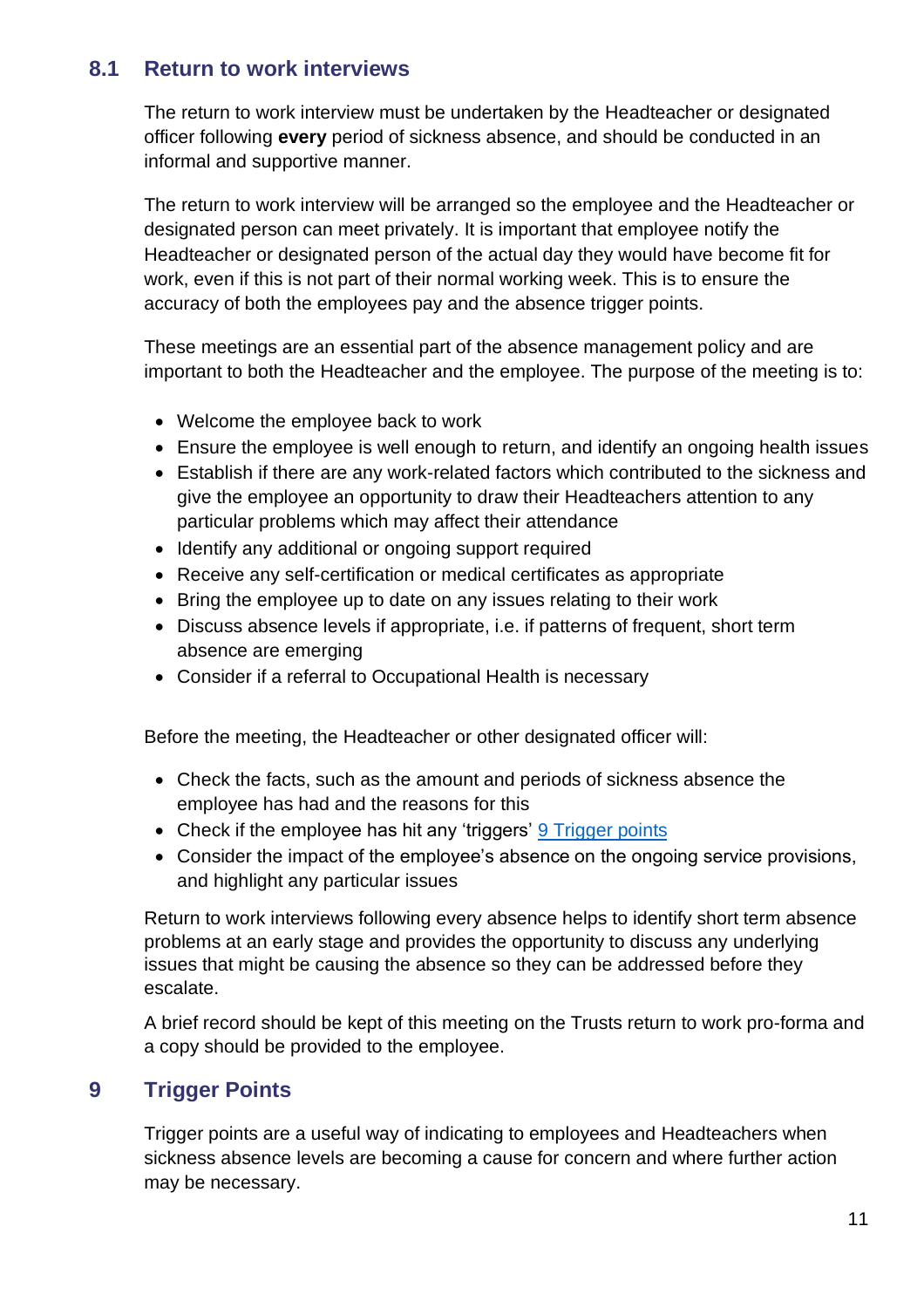## <span id="page-10-0"></span>**8.1 Return to work interviews**

The return to work interview must be undertaken by the Headteacher or designated officer following **every** period of sickness absence, and should be conducted in an informal and supportive manner.

The return to work interview will be arranged so the employee and the Headteacher or designated person can meet privately. It is important that employee notify the Headteacher or designated person of the actual day they would have become fit for work, even if this is not part of their normal working week. This is to ensure the accuracy of both the employees pay and the absence trigger points.

These meetings are an essential part of the absence management policy and are important to both the Headteacher and the employee. The purpose of the meeting is to:

- Welcome the employee back to work
- Ensure the employee is well enough to return, and identify an ongoing health issues
- Establish if there are any work-related factors which contributed to the sickness and give the employee an opportunity to draw their Headteachers attention to any particular problems which may affect their attendance
- Identify any additional or ongoing support required
- Receive any self-certification or medical certificates as appropriate
- Bring the employee up to date on any issues relating to their work
- Discuss absence levels if appropriate, i.e. if patterns of frequent, short term absence are emerging
- Consider if a referral to Occupational Health is necessary

Before the meeting, the Headteacher or other designated officer will:

- Check the facts, such as the amount and periods of sickness absence the employee has had and the reasons for this
- Check if the employee has hit any 'triggers' 9 [Trigger points](#page-13-0)
- Consider the impact of the employee's absence on the ongoing service provisions, and highlight any particular issues

Return to work interviews following every absence helps to identify short term absence problems at an early stage and provides the opportunity to discuss any underlying issues that might be causing the absence so they can be addressed before they escalate.

A brief record should be kept of this meeting on the Trusts return to work pro-forma and a copy should be provided to the employee.

## <span id="page-10-1"></span>**9 Trigger Points**

Trigger points are a useful way of indicating to employees and Headteachers when sickness absence levels are becoming a cause for concern and where further action may be necessary.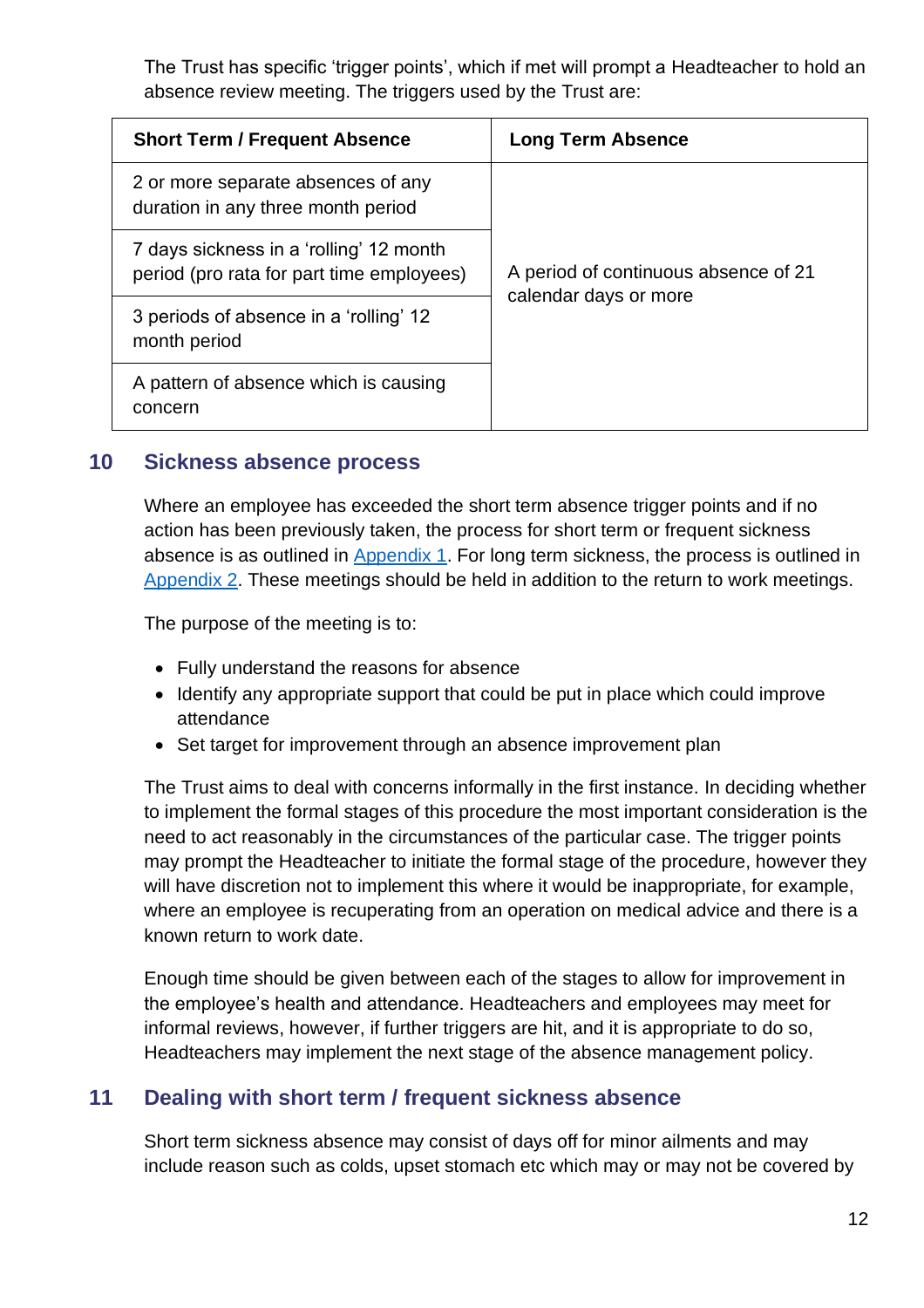The Trust has specific 'trigger points', which if met will prompt a Headteacher to hold an absence review meeting. The triggers used by the Trust are:

| <b>Short Term / Frequent Absence</b>                                                 | <b>Long Term Absence</b>             |  |
|--------------------------------------------------------------------------------------|--------------------------------------|--|
| 2 or more separate absences of any<br>duration in any three month period             |                                      |  |
| 7 days sickness in a 'rolling' 12 month<br>period (pro rata for part time employees) | A period of continuous absence of 21 |  |
| 3 periods of absence in a 'rolling' 12<br>month period                               | calendar days or more                |  |
| A pattern of absence which is causing<br>concern                                     |                                      |  |

#### <span id="page-11-0"></span>**10 Sickness absence process**

Where an employee has exceeded the short term absence trigger points and if no action has been previously taken, the process for short term or frequent sickness absence is as outlined in [Appendix 1.](#page-22-0) For long term sickness, the process is outlined in [Appendix 2.](#page-25-0) These meetings should be held in addition to the return to work meetings.

The purpose of the meeting is to:

- Fully understand the reasons for absence
- Identify any appropriate support that could be put in place which could improve attendance
- Set target for improvement through an absence improvement plan

The Trust aims to deal with concerns informally in the first instance. In deciding whether to implement the formal stages of this procedure the most important consideration is the need to act reasonably in the circumstances of the particular case. The trigger points may prompt the Headteacher to initiate the formal stage of the procedure, however they will have discretion not to implement this where it would be inappropriate, for example, where an employee is recuperating from an operation on medical advice and there is a known return to work date.

Enough time should be given between each of the stages to allow for improvement in the employee's health and attendance. Headteachers and employees may meet for informal reviews, however, if further triggers are hit, and it is appropriate to do so, Headteachers may implement the next stage of the absence management policy.

## <span id="page-11-1"></span>**11 Dealing with short term / frequent sickness absence**

Short term sickness absence may consist of days off for minor ailments and may include reason such as colds, upset stomach etc which may or may not be covered by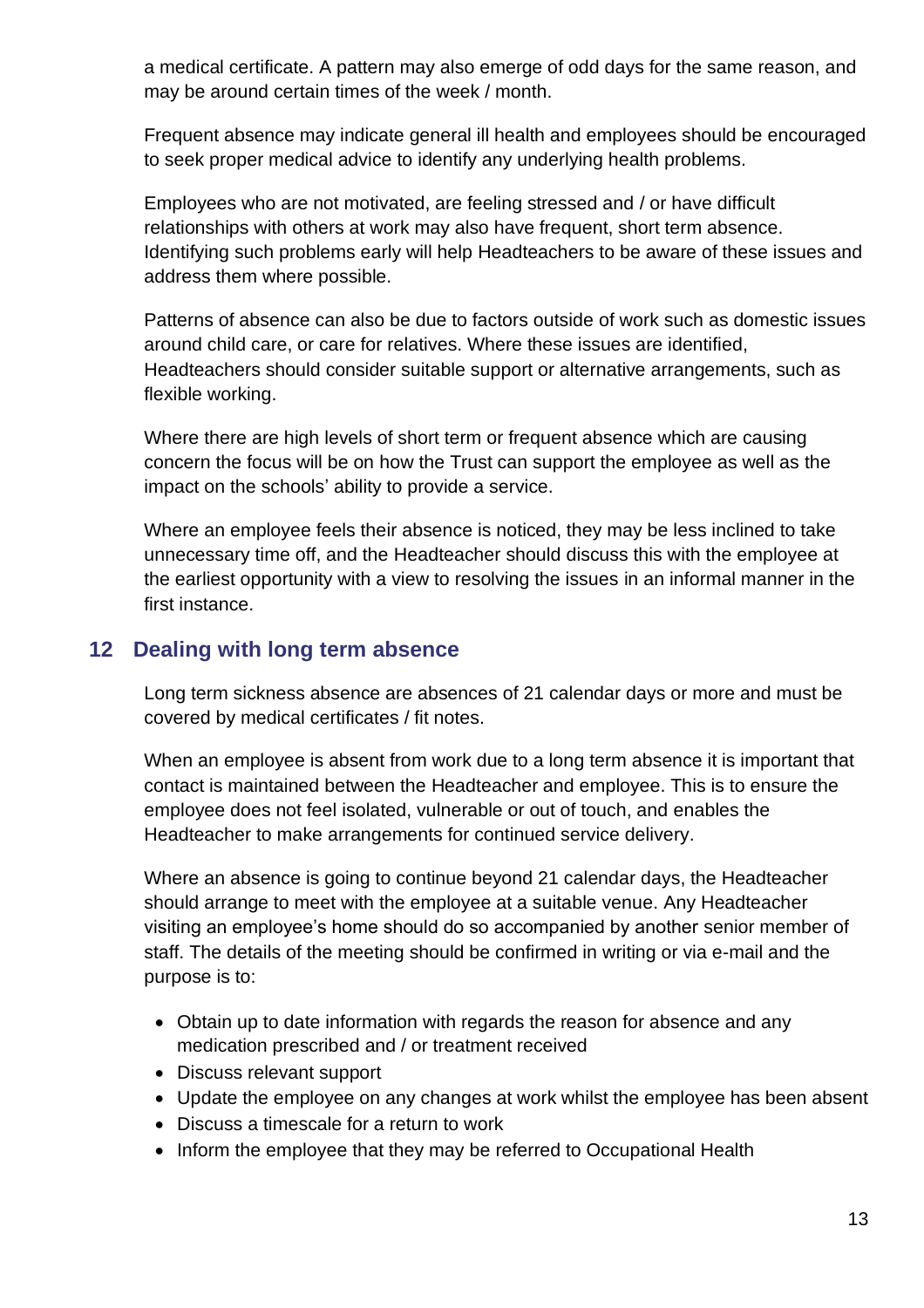a medical certificate. A pattern may also emerge of odd days for the same reason, and may be around certain times of the week / month.

Frequent absence may indicate general ill health and employees should be encouraged to seek proper medical advice to identify any underlying health problems.

Employees who are not motivated, are feeling stressed and / or have difficult relationships with others at work may also have frequent, short term absence. Identifying such problems early will help Headteachers to be aware of these issues and address them where possible.

Patterns of absence can also be due to factors outside of work such as domestic issues around child care, or care for relatives. Where these issues are identified, Headteachers should consider suitable support or alternative arrangements, such as flexible working.

Where there are high levels of short term or frequent absence which are causing concern the focus will be on how the Trust can support the employee as well as the impact on the schools' ability to provide a service.

Where an employee feels their absence is noticed, they may be less inclined to take unnecessary time off, and the Headteacher should discuss this with the employee at the earliest opportunity with a view to resolving the issues in an informal manner in the first instance.

## <span id="page-12-0"></span>**12 Dealing with long term absence**

Long term sickness absence are absences of 21 calendar days or more and must be covered by medical certificates / fit notes.

When an employee is absent from work due to a long term absence it is important that contact is maintained between the Headteacher and employee. This is to ensure the employee does not feel isolated, vulnerable or out of touch, and enables the Headteacher to make arrangements for continued service delivery.

Where an absence is going to continue beyond 21 calendar days, the Headteacher should arrange to meet with the employee at a suitable venue. Any Headteacher visiting an employee's home should do so accompanied by another senior member of staff. The details of the meeting should be confirmed in writing or via e-mail and the purpose is to:

- Obtain up to date information with regards the reason for absence and any medication prescribed and / or treatment received
- Discuss relevant support
- Update the employee on any changes at work whilst the employee has been absent
- Discuss a timescale for a return to work
- Inform the employee that they may be referred to Occupational Health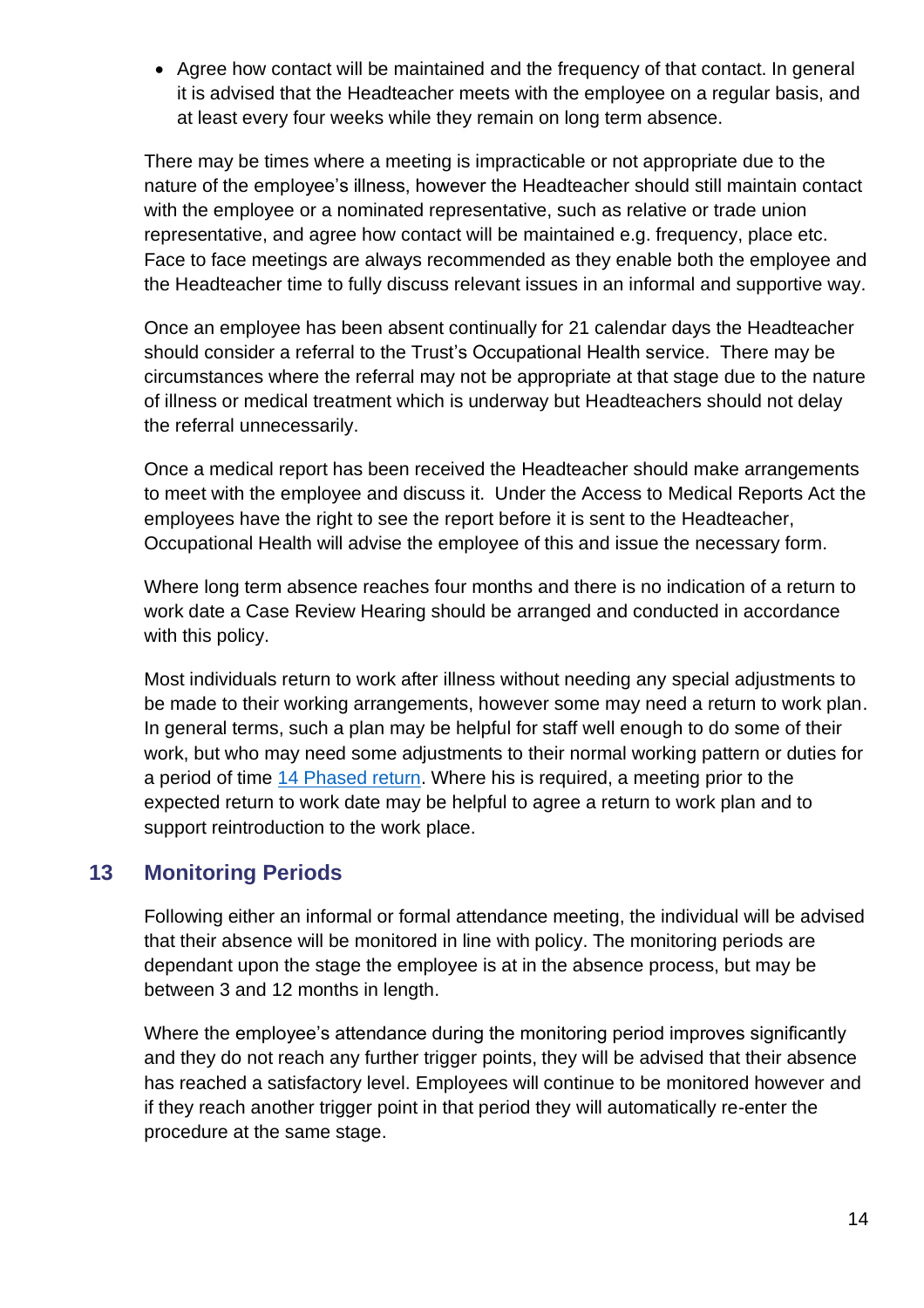• Agree how contact will be maintained and the frequency of that contact. In general it is advised that the Headteacher meets with the employee on a regular basis, and at least every four weeks while they remain on long term absence.

There may be times where a meeting is impracticable or not appropriate due to the nature of the employee's illness, however the Headteacher should still maintain contact with the employee or a nominated representative, such as relative or trade union representative, and agree how contact will be maintained e.g. frequency, place etc. Face to face meetings are always recommended as they enable both the employee and the Headteacher time to fully discuss relevant issues in an informal and supportive way.

Once an employee has been absent continually for 21 calendar days the Headteacher should consider a referral to the Trust's Occupational Health service. There may be circumstances where the referral may not be appropriate at that stage due to the nature of illness or medical treatment which is underway but Headteachers should not delay the referral unnecessarily.

Once a medical report has been received the Headteacher should make arrangements to meet with the employee and discuss it. Under the Access to Medical Reports Act the employees have the right to see the report before it is sent to the Headteacher, Occupational Health will advise the employee of this and issue the necessary form.

Where long term absence reaches four months and there is no indication of a return to work date a Case Review Hearing should be arranged and conducted in accordance with this policy.

Most individuals return to work after illness without needing any special adjustments to be made to their working arrangements, however some may need a return to work plan. In general terms, such a plan may be helpful for staff well enough to do some of their work, but who may need some adjustments to their normal working pattern or duties for a period of time 14 [Phased return.](#page-14-0) Where his is required, a meeting prior to the expected return to work date may be helpful to agree a return to work plan and to support reintroduction to the work place.

## <span id="page-13-0"></span>**13 Monitoring Periods**

Following either an informal or formal attendance meeting, the individual will be advised that their absence will be monitored in line with policy. The monitoring periods are dependant upon the stage the employee is at in the absence process, but may be between 3 and 12 months in length.

Where the employee's attendance during the monitoring period improves significantly and they do not reach any further trigger points, they will be advised that their absence has reached a satisfactory level. Employees will continue to be monitored however and if they reach another trigger point in that period they will automatically re-enter the procedure at the same stage.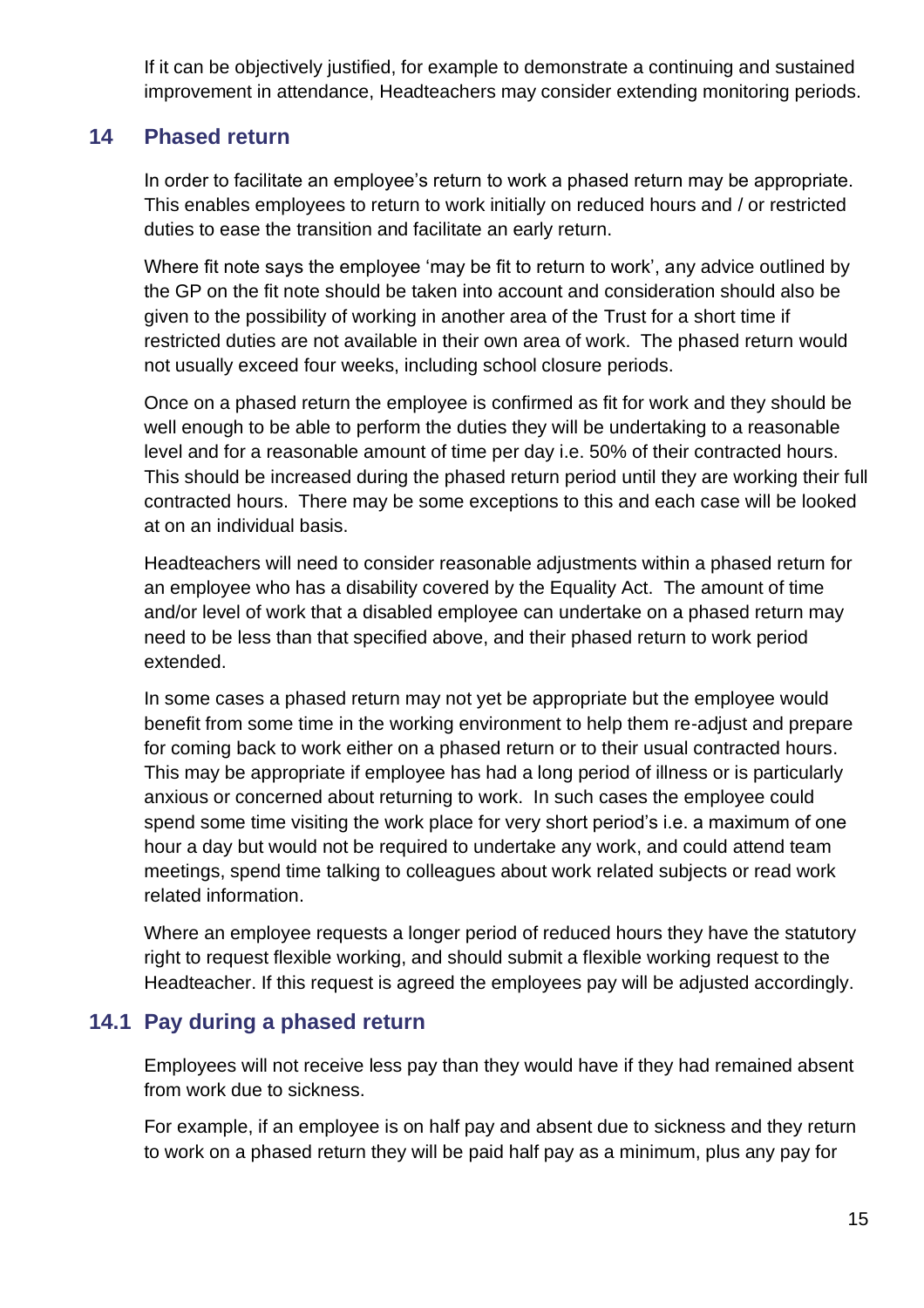If it can be objectively justified, for example to demonstrate a continuing and sustained improvement in attendance, Headteachers may consider extending monitoring periods.

## <span id="page-14-0"></span>**14 Phased return**

In order to facilitate an employee's return to work a phased return may be appropriate. This enables employees to return to work initially on reduced hours and / or restricted duties to ease the transition and facilitate an early return.

Where fit note says the employee 'may be fit to return to work', any advice outlined by the GP on the fit note should be taken into account and consideration should also be given to the possibility of working in another area of the Trust for a short time if restricted duties are not available in their own area of work. The phased return would not usually exceed four weeks, including school closure periods.

Once on a phased return the employee is confirmed as fit for work and they should be well enough to be able to perform the duties they will be undertaking to a reasonable level and for a reasonable amount of time per day i.e. 50% of their contracted hours. This should be increased during the phased return period until they are working their full contracted hours. There may be some exceptions to this and each case will be looked at on an individual basis.

Headteachers will need to consider reasonable adjustments within a phased return for an employee who has a disability covered by the Equality Act. The amount of time and/or level of work that a disabled employee can undertake on a phased return may need to be less than that specified above, and their phased return to work period extended.

In some cases a phased return may not yet be appropriate but the employee would benefit from some time in the working environment to help them re-adjust and prepare for coming back to work either on a phased return or to their usual contracted hours. This may be appropriate if employee has had a long period of illness or is particularly anxious or concerned about returning to work. In such cases the employee could spend some time visiting the work place for very short period's i.e. a maximum of one hour a day but would not be required to undertake any work, and could attend team meetings, spend time talking to colleagues about work related subjects or read work related information.

Where an employee requests a longer period of reduced hours they have the statutory right to request flexible working, and should submit a flexible working request to the Headteacher. If this request is agreed the employees pay will be adjusted accordingly.

## <span id="page-14-1"></span>**14.1 Pay during a phased return**

Employees will not receive less pay than they would have if they had remained absent from work due to sickness.

For example, if an employee is on half pay and absent due to sickness and they return to work on a phased return they will be paid half pay as a minimum, plus any pay for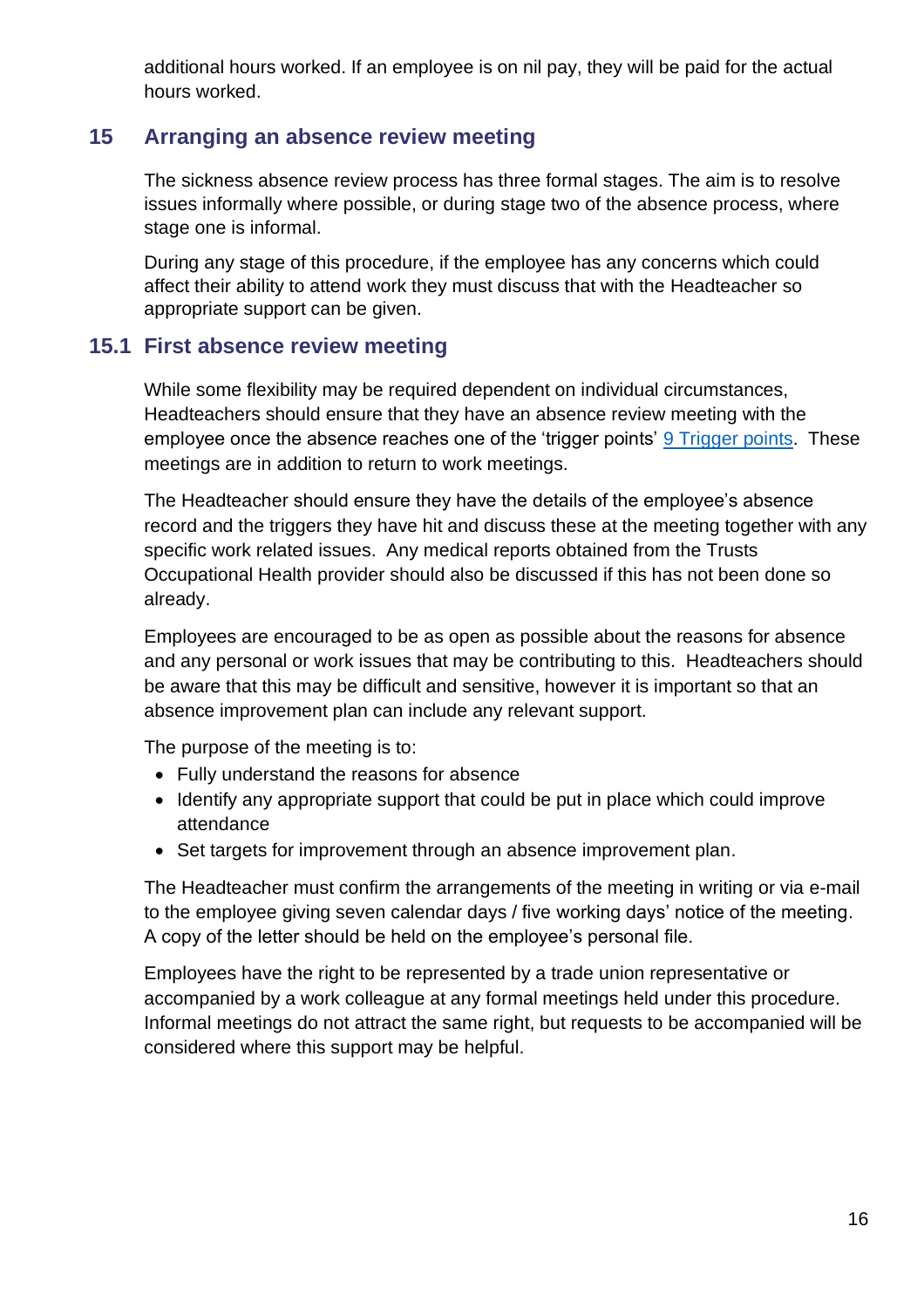additional hours worked. If an employee is on nil pay, they will be paid for the actual hours worked.

## <span id="page-15-0"></span>**15 Arranging an absence review meeting**

The sickness absence review process has three formal stages. The aim is to resolve issues informally where possible, or during stage two of the absence process, where stage one is informal.

During any stage of this procedure, if the employee has any concerns which could affect their ability to attend work they must discuss that with the Headteacher so appropriate support can be given.

## <span id="page-15-1"></span>**15.1 First absence review meeting**

While some flexibility may be required dependent on individual circumstances, Headteachers should ensure that they have an absence review meeting with the employee once the absence reaches one of the 'trigger points' 9 [Trigger points.](#page-13-0) These meetings are in addition to return to work meetings.

The Headteacher should ensure they have the details of the employee's absence record and the triggers they have hit and discuss these at the meeting together with any specific work related issues. Any medical reports obtained from the Trusts Occupational Health provider should also be discussed if this has not been done so already.

Employees are encouraged to be as open as possible about the reasons for absence and any personal or work issues that may be contributing to this. Headteachers should be aware that this may be difficult and sensitive, however it is important so that an absence improvement plan can include any relevant support.

The purpose of the meeting is to:

- Fully understand the reasons for absence
- Identify any appropriate support that could be put in place which could improve attendance
- Set targets for improvement through an absence improvement plan.

The Headteacher must confirm the arrangements of the meeting in writing or via e-mail to the employee giving seven calendar days / five working days' notice of the meeting. A copy of the letter should be held on the employee's personal file.

Employees have the right to be represented by a trade union representative or accompanied by a work colleague at any formal meetings held under this procedure. Informal meetings do not attract the same right, but requests to be accompanied will be considered where this support may be helpful.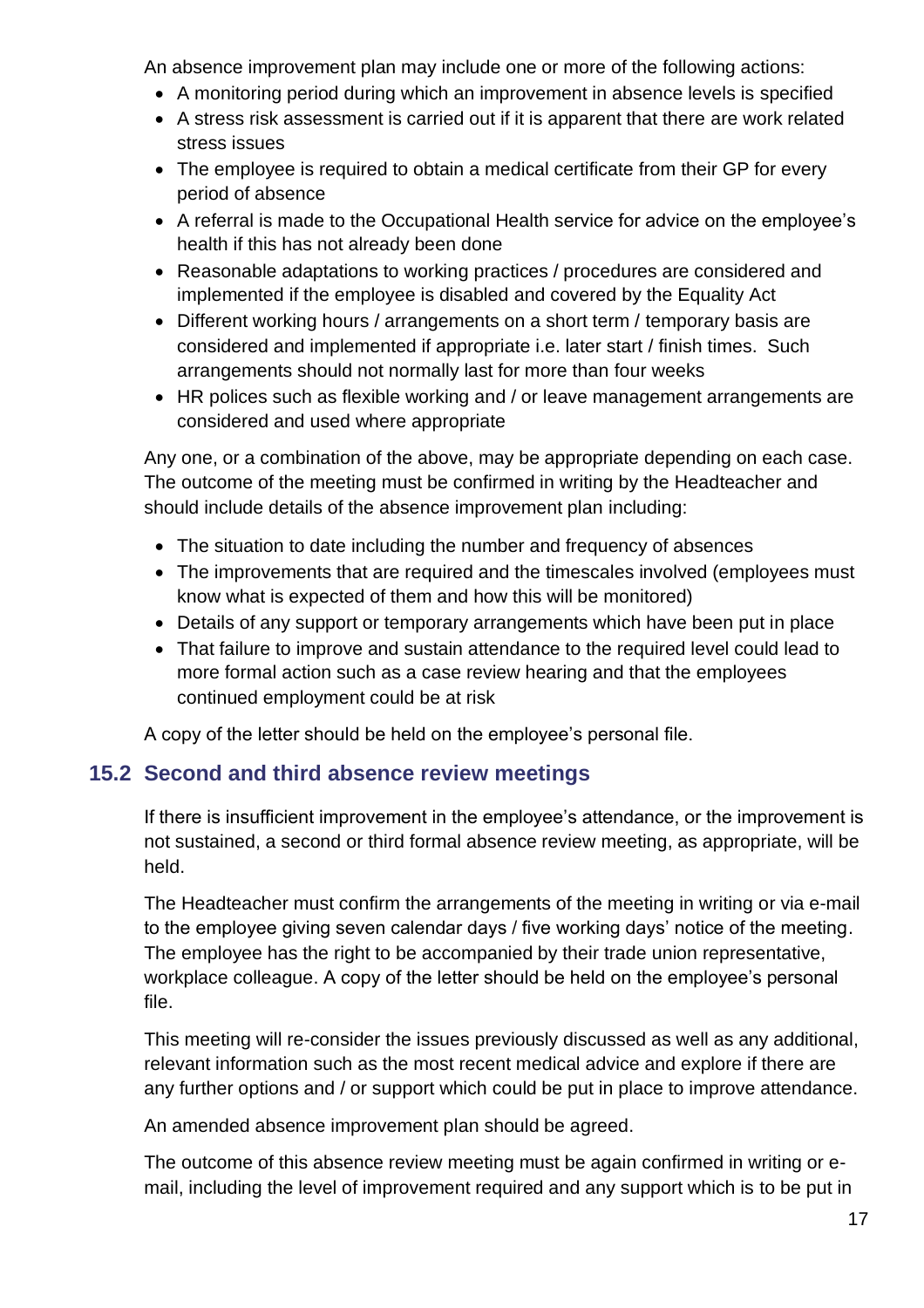An absence improvement plan may include one or more of the following actions:

- A monitoring period during which an improvement in absence levels is specified
- A stress risk assessment is carried out if it is apparent that there are work related stress issues
- The employee is required to obtain a medical certificate from their GP for every period of absence
- A referral is made to the Occupational Health service for advice on the employee's health if this has not already been done
- Reasonable adaptations to working practices / procedures are considered and implemented if the employee is disabled and covered by the Equality Act
- Different working hours / arrangements on a short term / temporary basis are considered and implemented if appropriate i.e. later start / finish times. Such arrangements should not normally last for more than four weeks
- HR polices such as flexible working and / or leave management arrangements are considered and used where appropriate

Any one, or a combination of the above, may be appropriate depending on each case. The outcome of the meeting must be confirmed in writing by the Headteacher and should include details of the absence improvement plan including:

- The situation to date including the number and frequency of absences
- The improvements that are required and the timescales involved (employees must know what is expected of them and how this will be monitored)
- Details of any support or temporary arrangements which have been put in place
- That failure to improve and sustain attendance to the required level could lead to more formal action such as a case review hearing and that the employees continued employment could be at risk

A copy of the letter should be held on the employee's personal file.

## <span id="page-16-0"></span>**15.2 Second and third absence review meetings**

If there is insufficient improvement in the employee's attendance, or the improvement is not sustained, a second or third formal absence review meeting, as appropriate, will be held.

The Headteacher must confirm the arrangements of the meeting in writing or via e-mail to the employee giving seven calendar days / five working days' notice of the meeting. The employee has the right to be accompanied by their trade union representative, workplace colleague. A copy of the letter should be held on the employee's personal file.

This meeting will re-consider the issues previously discussed as well as any additional, relevant information such as the most recent medical advice and explore if there are any further options and / or support which could be put in place to improve attendance.

An amended absence improvement plan should be agreed.

The outcome of this absence review meeting must be again confirmed in writing or email, including the level of improvement required and any support which is to be put in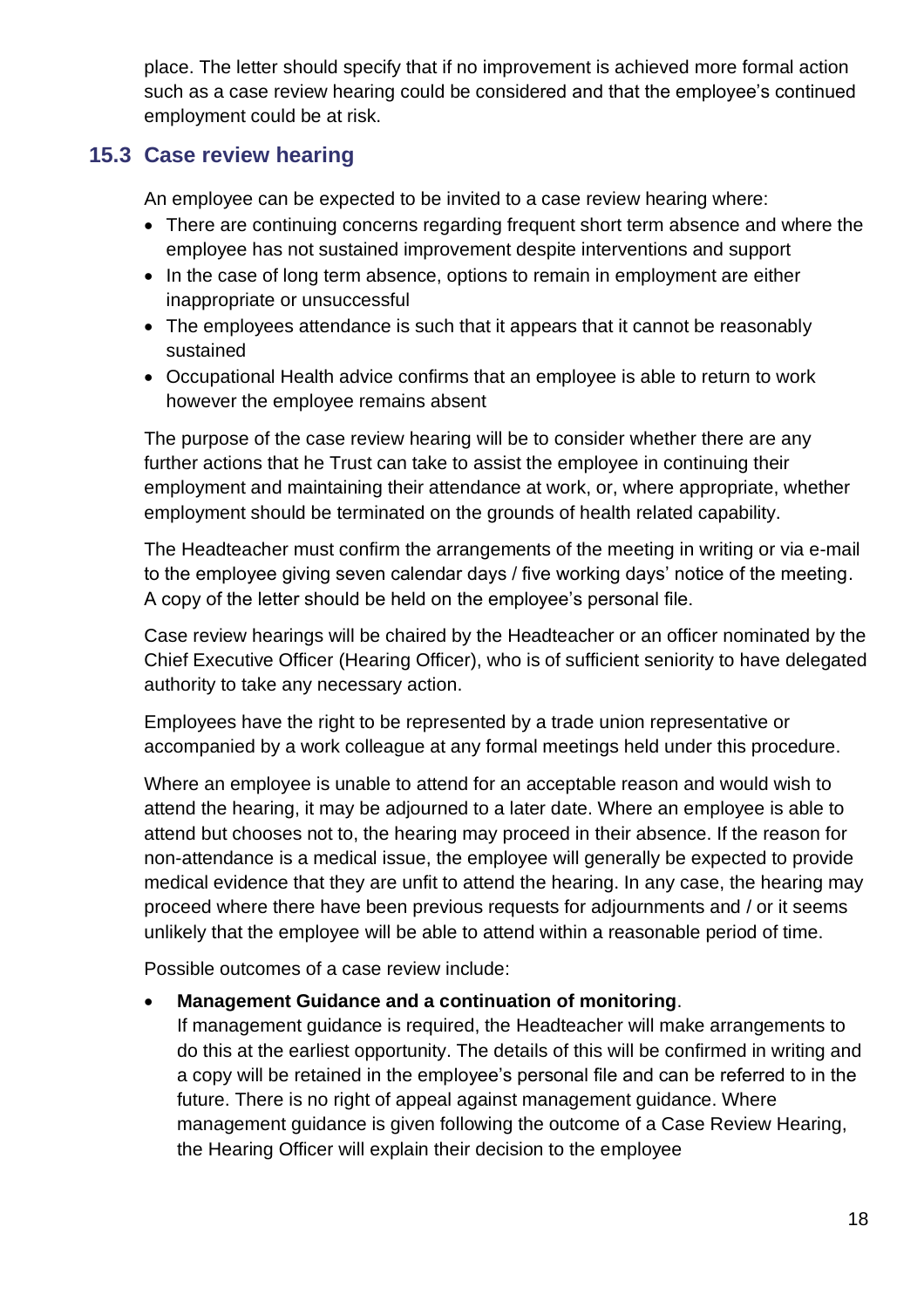place. The letter should specify that if no improvement is achieved more formal action such as a case review hearing could be considered and that the employee's continued employment could be at risk.

## <span id="page-17-0"></span>**15.3 Case review hearing**

An employee can be expected to be invited to a case review hearing where:

- There are continuing concerns regarding frequent short term absence and where the employee has not sustained improvement despite interventions and support
- In the case of long term absence, options to remain in employment are either inappropriate or unsuccessful
- The employees attendance is such that it appears that it cannot be reasonably sustained
- Occupational Health advice confirms that an employee is able to return to work however the employee remains absent

The purpose of the case review hearing will be to consider whether there are any further actions that he Trust can take to assist the employee in continuing their employment and maintaining their attendance at work, or, where appropriate, whether employment should be terminated on the grounds of health related capability.

The Headteacher must confirm the arrangements of the meeting in writing or via e-mail to the employee giving seven calendar days / five working days' notice of the meeting. A copy of the letter should be held on the employee's personal file.

Case review hearings will be chaired by the Headteacher or an officer nominated by the Chief Executive Officer (Hearing Officer), who is of sufficient seniority to have delegated authority to take any necessary action.

Employees have the right to be represented by a trade union representative or accompanied by a work colleague at any formal meetings held under this procedure.

Where an employee is unable to attend for an acceptable reason and would wish to attend the hearing, it may be adjourned to a later date. Where an employee is able to attend but chooses not to, the hearing may proceed in their absence. If the reason for non-attendance is a medical issue, the employee will generally be expected to provide medical evidence that they are unfit to attend the hearing. In any case, the hearing may proceed where there have been previous requests for adjournments and / or it seems unlikely that the employee will be able to attend within a reasonable period of time.

Possible outcomes of a case review include:

#### • **Management Guidance and a continuation of monitoring**.

If management guidance is required, the Headteacher will make arrangements to do this at the earliest opportunity. The details of this will be confirmed in writing and a copy will be retained in the employee's personal file and can be referred to in the future. There is no right of appeal against management guidance. Where management guidance is given following the outcome of a Case Review Hearing, the Hearing Officer will explain their decision to the employee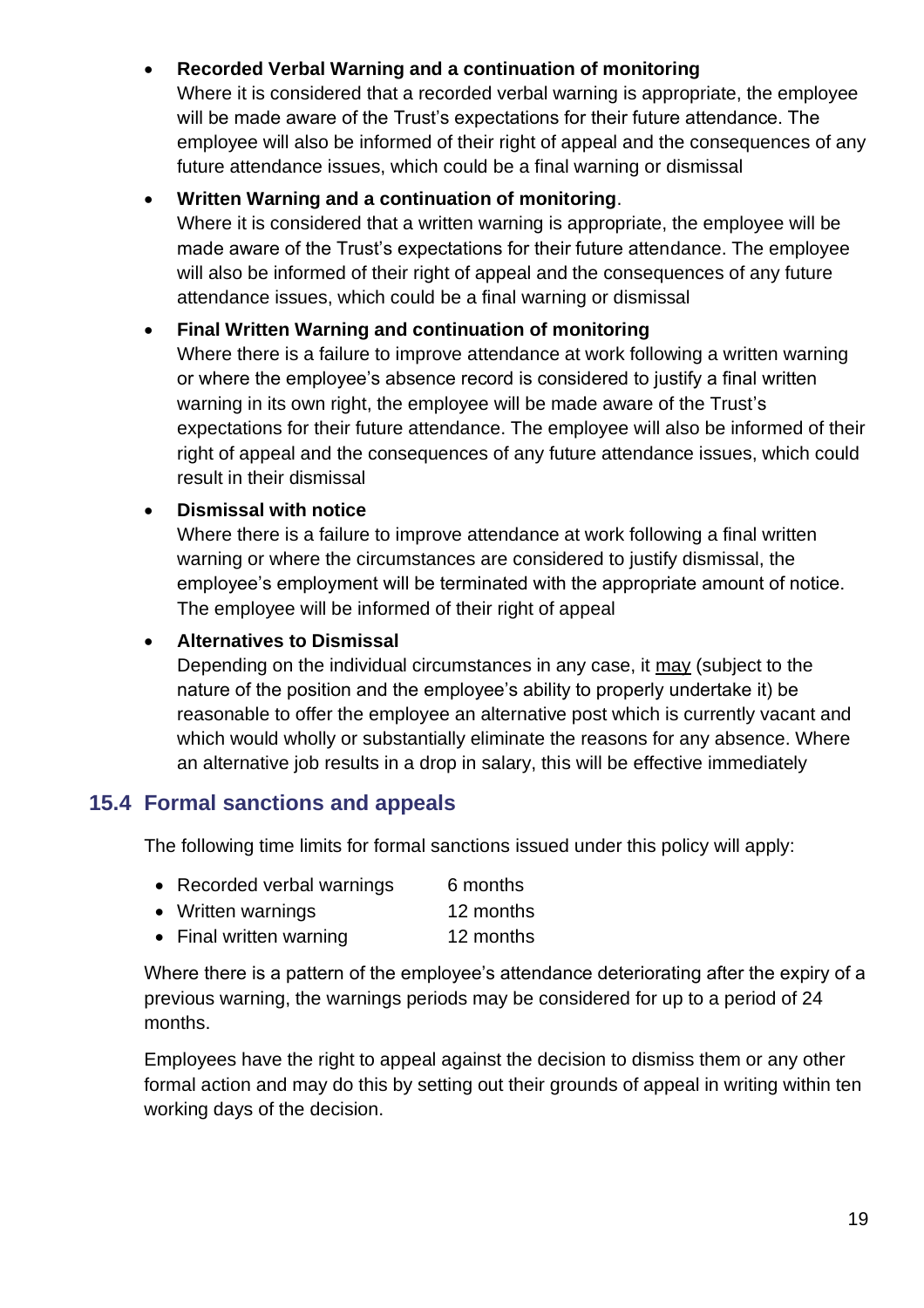## • **Recorded Verbal Warning and a continuation of monitoring**

Where it is considered that a recorded verbal warning is appropriate, the employee will be made aware of the Trust's expectations for their future attendance. The employee will also be informed of their right of appeal and the consequences of any future attendance issues, which could be a final warning or dismissal

#### • **Written Warning and a continuation of monitoring**.

Where it is considered that a written warning is appropriate, the employee will be made aware of the Trust's expectations for their future attendance. The employee will also be informed of their right of appeal and the consequences of any future attendance issues, which could be a final warning or dismissal

#### • **Final Written Warning and continuation of monitoring**

Where there is a failure to improve attendance at work following a written warning or where the employee's absence record is considered to justify a final written warning in its own right, the employee will be made aware of the Trust's expectations for their future attendance. The employee will also be informed of their right of appeal and the consequences of any future attendance issues, which could result in their dismissal

#### • **Dismissal with notice**

Where there is a failure to improve attendance at work following a final written warning or where the circumstances are considered to justify dismissal, the employee's employment will be terminated with the appropriate amount of notice. The employee will be informed of their right of appeal

#### • **Alternatives to Dismissal**

Depending on the individual circumstances in any case, it may (subject to the nature of the position and the employee's ability to properly undertake it) be reasonable to offer the employee an alternative post which is currently vacant and which would wholly or substantially eliminate the reasons for any absence. Where an alternative job results in a drop in salary, this will be effective immediately

## <span id="page-18-0"></span>**15.4 Formal sanctions and appeals**

The following time limits for formal sanctions issued under this policy will apply:

- Recorded verbal warnings 6 months
- Written warnings 12 months
- Final written warning 12 months

Where there is a pattern of the employee's attendance deteriorating after the expiry of a previous warning, the warnings periods may be considered for up to a period of 24 months.

Employees have the right to appeal against the decision to dismiss them or any other formal action and may do this by setting out their grounds of appeal in writing within ten working days of the decision.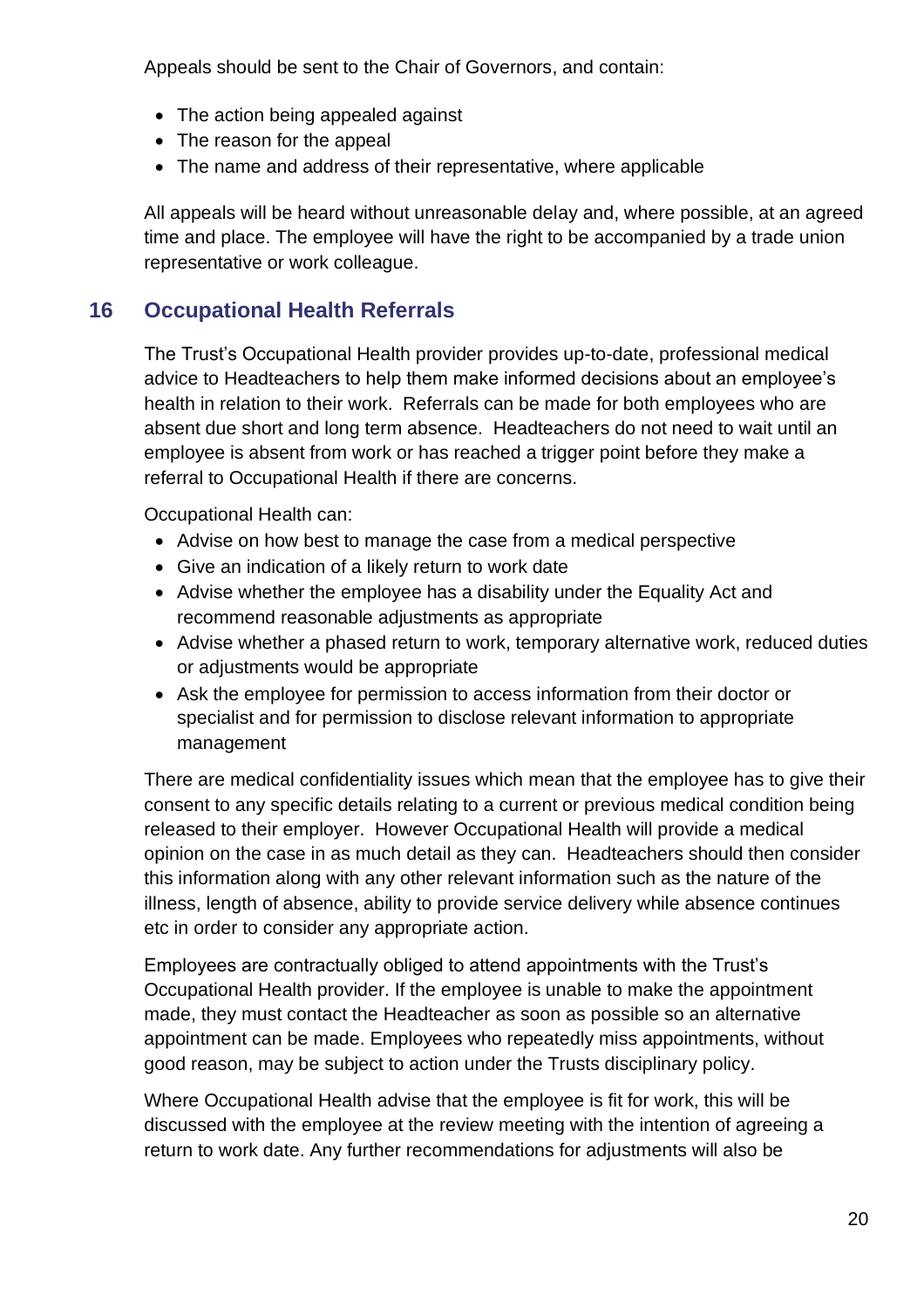Appeals should be sent to the Chair of Governors, and contain:

- The action being appealed against
- The reason for the appeal
- The name and address of their representative, where applicable

All appeals will be heard without unreasonable delay and, where possible, at an agreed time and place. The employee will have the right to be accompanied by a trade union representative or work colleague.

## <span id="page-19-0"></span>**16 Occupational Health Referrals**

The Trust's Occupational Health provider provides up-to-date, professional medical advice to Headteachers to help them make informed decisions about an employee's health in relation to their work. Referrals can be made for both employees who are absent due short and long term absence. Headteachers do not need to wait until an employee is absent from work or has reached a trigger point before they make a referral to Occupational Health if there are concerns.

Occupational Health can:

- Advise on how best to manage the case from a medical perspective
- Give an indication of a likely return to work date
- Advise whether the employee has a disability under the Equality Act and recommend reasonable adjustments as appropriate
- Advise whether a phased return to work, temporary alternative work, reduced duties or adjustments would be appropriate
- Ask the employee for permission to access information from their doctor or specialist and for permission to disclose relevant information to appropriate management

There are medical confidentiality issues which mean that the employee has to give their consent to any specific details relating to a current or previous medical condition being released to their employer. However Occupational Health will provide a medical opinion on the case in as much detail as they can. Headteachers should then consider this information along with any other relevant information such as the nature of the illness, length of absence, ability to provide service delivery while absence continues etc in order to consider any appropriate action.

Employees are contractually obliged to attend appointments with the Trust's Occupational Health provider. If the employee is unable to make the appointment made, they must contact the Headteacher as soon as possible so an alternative appointment can be made. Employees who repeatedly miss appointments, without good reason, may be subject to action under the Trusts disciplinary policy.

Where Occupational Health advise that the employee is fit for work, this will be discussed with the employee at the review meeting with the intention of agreeing a return to work date. Any further recommendations for adjustments will also be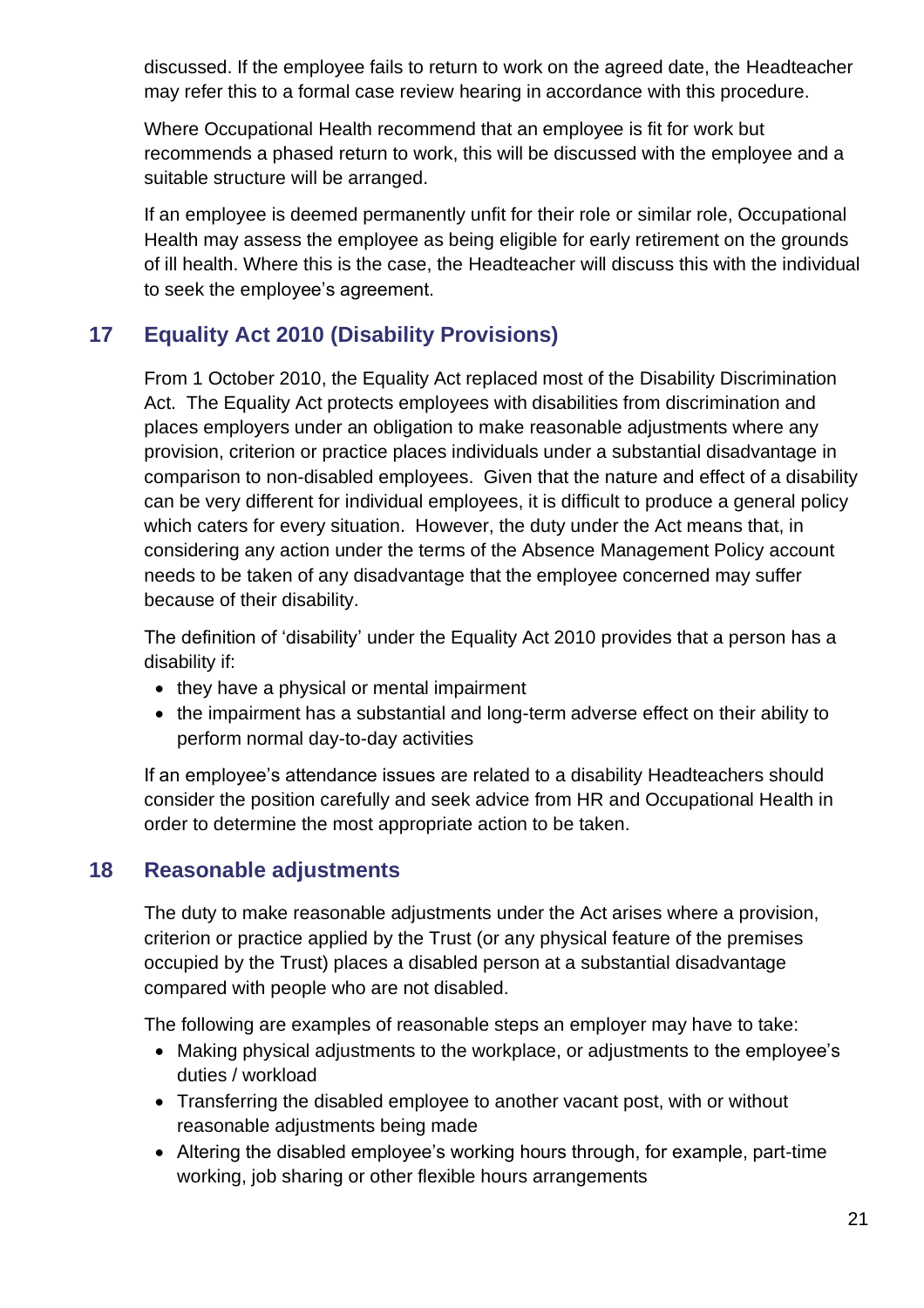discussed. If the employee fails to return to work on the agreed date, the Headteacher may refer this to a formal case review hearing in accordance with this procedure.

Where Occupational Health recommend that an employee is fit for work but recommends a phased return to work, this will be discussed with the employee and a suitable structure will be arranged.

If an employee is deemed permanently unfit for their role or similar role, Occupational Health may assess the employee as being eligible for early retirement on the grounds of ill health. Where this is the case, the Headteacher will discuss this with the individual to seek the employee's agreement.

## <span id="page-20-0"></span>**17 Equality Act 2010 (Disability Provisions)**

From 1 October 2010, the Equality Act replaced most of the Disability Discrimination Act. The Equality Act protects employees with disabilities from discrimination and places employers under an obligation to make reasonable adjustments where any provision, criterion or practice places individuals under a substantial disadvantage in comparison to non-disabled employees. Given that the nature and effect of a disability can be very different for individual employees, it is difficult to produce a general policy which caters for every situation. However, the duty under the Act means that, in considering any action under the terms of the Absence Management Policy account needs to be taken of any disadvantage that the employee concerned may suffer because of their disability.

The definition of 'disability' under the Equality Act 2010 provides that a person has a disability if:

- they have a physical or mental impairment
- the impairment has a substantial and long-term adverse effect on their ability to perform normal day-to-day activities

If an employee's attendance issues are related to a disability Headteachers should consider the position carefully and seek advice from HR and Occupational Health in order to determine the most appropriate action to be taken.

## <span id="page-20-1"></span>**18 Reasonable adjustments**

The duty to make reasonable adjustments under the Act arises where a provision, criterion or practice applied by the Trust (or any physical feature of the premises occupied by the Trust) places a disabled person at a substantial disadvantage compared with people who are not disabled.

The following are examples of reasonable steps an employer may have to take:

- Making physical adjustments to the workplace, or adjustments to the employee's duties / workload
- Transferring the disabled employee to another vacant post, with or without reasonable adjustments being made
- Altering the disabled employee's working hours through, for example, part-time working, job sharing or other flexible hours arrangements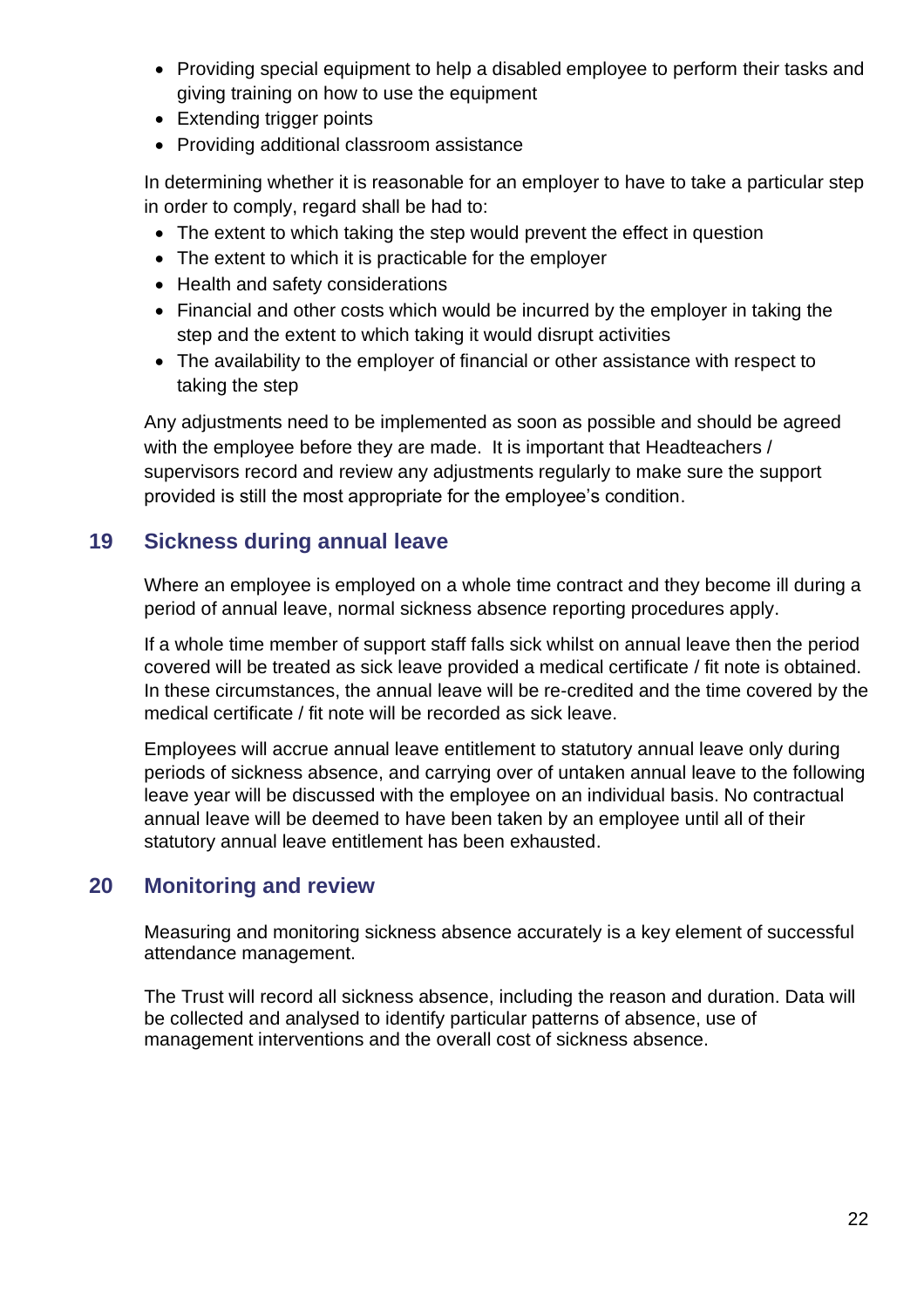- Providing special equipment to help a disabled employee to perform their tasks and giving training on how to use the equipment
- Extending trigger points
- Providing additional classroom assistance

In determining whether it is reasonable for an employer to have to take a particular step in order to comply, regard shall be had to:

- The extent to which taking the step would prevent the effect in question
- The extent to which it is practicable for the employer
- Health and safety considerations
- Financial and other costs which would be incurred by the employer in taking the step and the extent to which taking it would disrupt activities
- The availability to the employer of financial or other assistance with respect to taking the step

Any adjustments need to be implemented as soon as possible and should be agreed with the employee before they are made. It is important that Headteachers / supervisors record and review any adjustments regularly to make sure the support provided is still the most appropriate for the employee's condition.

## <span id="page-21-0"></span>**19 Sickness during annual leave**

Where an employee is employed on a whole time contract and they become ill during a period of annual leave, normal sickness absence reporting procedures apply.

If a whole time member of support staff falls sick whilst on annual leave then the period covered will be treated as sick leave provided a medical certificate / fit note is obtained. In these circumstances, the annual leave will be re-credited and the time covered by the medical certificate / fit note will be recorded as sick leave.

Employees will accrue annual leave entitlement to statutory annual leave only during periods of sickness absence, and carrying over of untaken annual leave to the following leave year will be discussed with the employee on an individual basis. No contractual annual leave will be deemed to have been taken by an employee until all of their statutory annual leave entitlement has been exhausted.

## <span id="page-21-1"></span>**20 Monitoring and review**

Measuring and monitoring sickness absence accurately is a key element of successful attendance management.

The Trust will record all sickness absence, including the reason and duration. Data will be collected and analysed to identify particular patterns of absence, use of management interventions and the overall cost of sickness absence.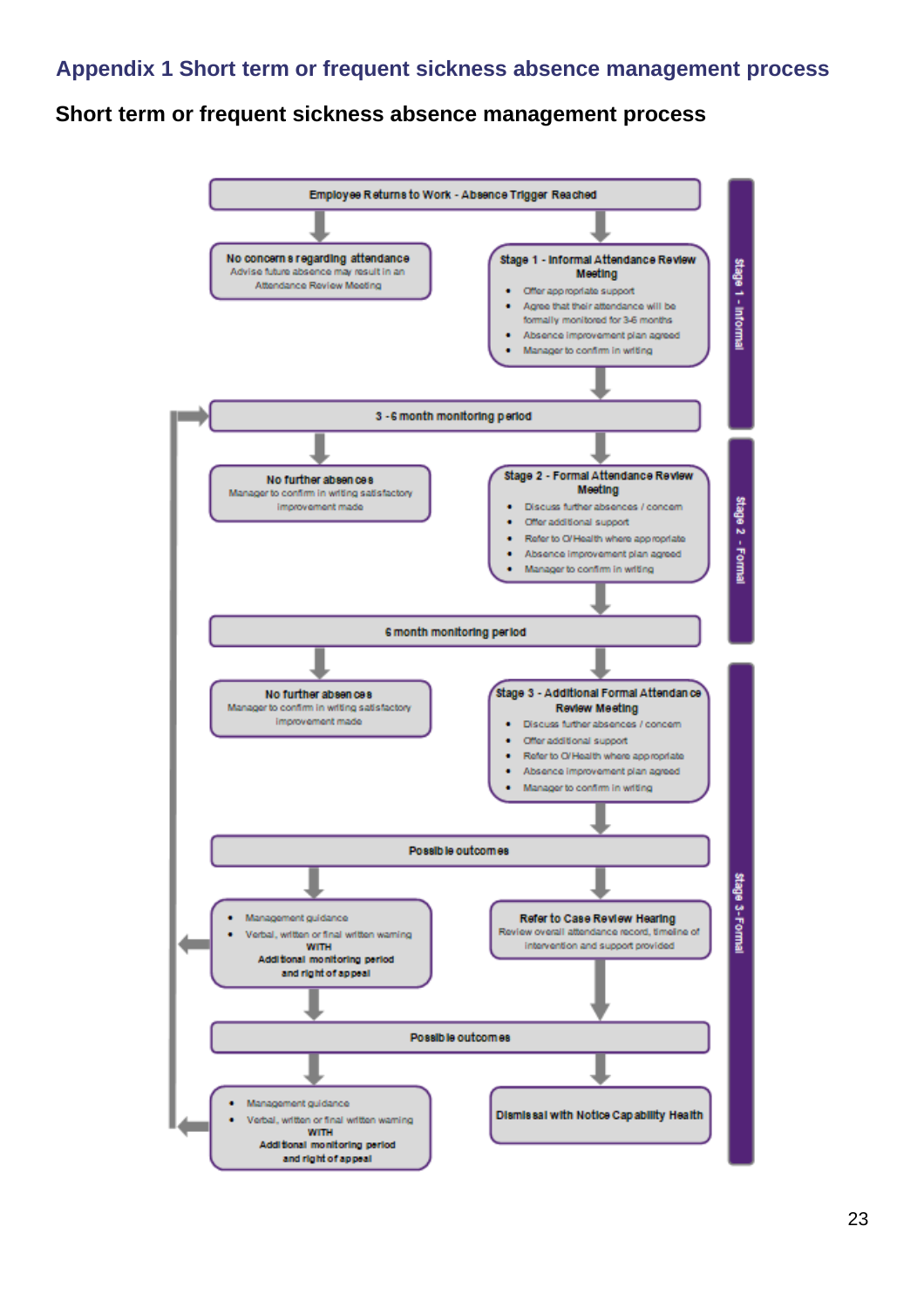## <span id="page-22-0"></span>**Short term or frequent sickness absence management process**

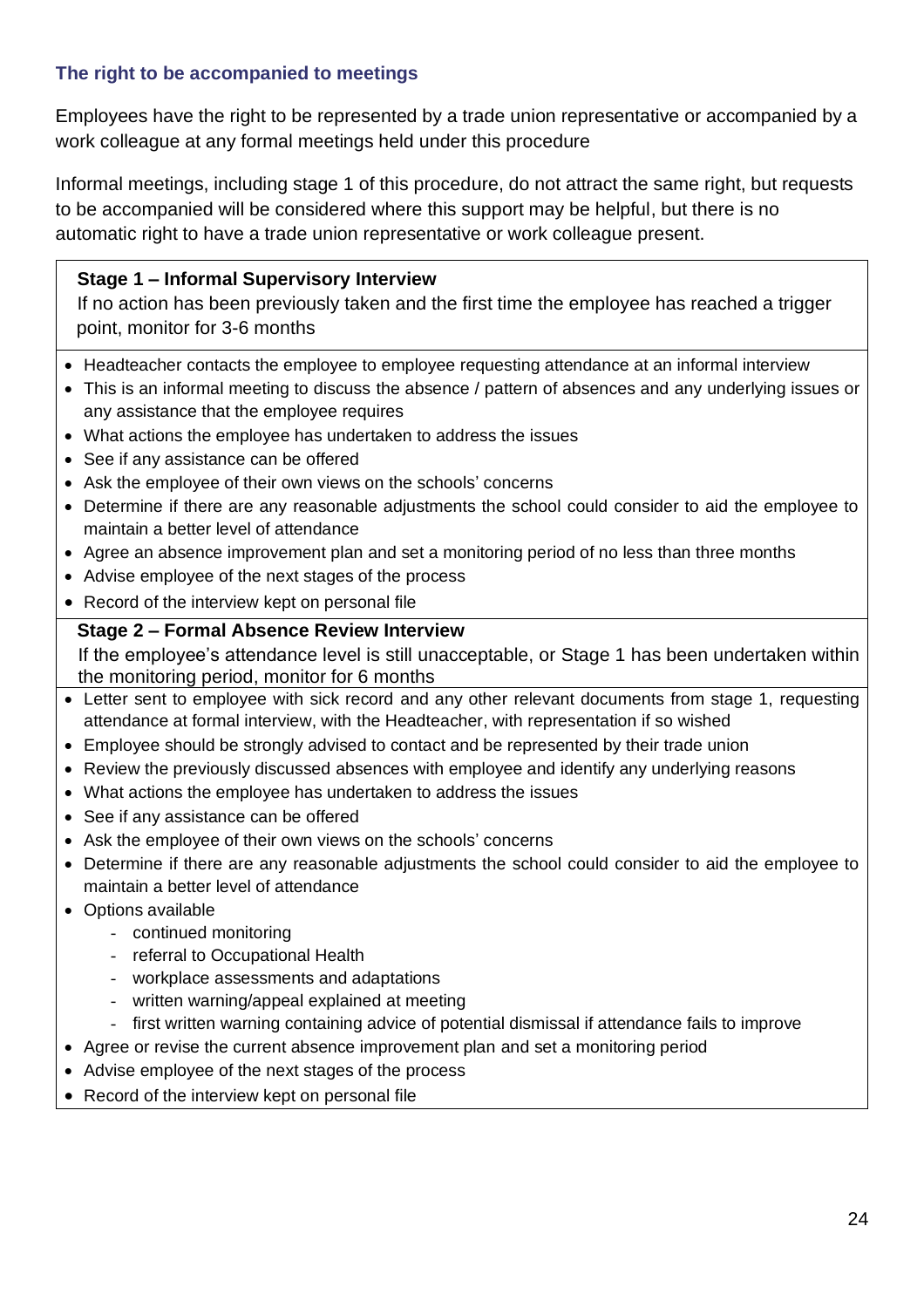#### **The right to be accompanied to meetings**

Employees have the right to be represented by a trade union representative or accompanied by a work colleague at any formal meetings held under this procedure

Informal meetings, including stage 1 of this procedure, do not attract the same right, but requests to be accompanied will be considered where this support may be helpful, but there is no automatic right to have a trade union representative or work colleague present.

#### **Stage 1 – Informal Supervisory Interview**

If no action has been previously taken and the first time the employee has reached a trigger point, monitor for 3-6 months

- Headteacher contacts the employee to employee requesting attendance at an informal interview
- This is an informal meeting to discuss the absence / pattern of absences and any underlying issues or any assistance that the employee requires
- What actions the employee has undertaken to address the issues
- See if any assistance can be offered
- Ask the employee of their own views on the schools' concerns
- Determine if there are any reasonable adjustments the school could consider to aid the employee to maintain a better level of attendance
- Agree an absence improvement plan and set a monitoring period of no less than three months
- Advise employee of the next stages of the process
- Record of the interview kept on personal file

#### **Stage 2 – Formal Absence Review Interview**

If the employee's attendance level is still unacceptable, or Stage 1 has been undertaken within the monitoring period, monitor for 6 months

- Letter sent to employee with sick record and any other relevant documents from stage 1, requesting attendance at formal interview, with the Headteacher, with representation if so wished
- Employee should be strongly advised to contact and be represented by their trade union
- Review the previously discussed absences with employee and identify any underlying reasons
- What actions the employee has undertaken to address the issues
- See if any assistance can be offered
- Ask the employee of their own views on the schools' concerns
- Determine if there are any reasonable adjustments the school could consider to aid the employee to maintain a better level of attendance
- Options available
	- continued monitoring
	- referral to Occupational Health
	- workplace assessments and adaptations
	- written warning/appeal explained at meeting
	- first written warning containing advice of potential dismissal if attendance fails to improve
- Agree or revise the current absence improvement plan and set a monitoring period
- Advise employee of the next stages of the process
- Record of the interview kept on personal file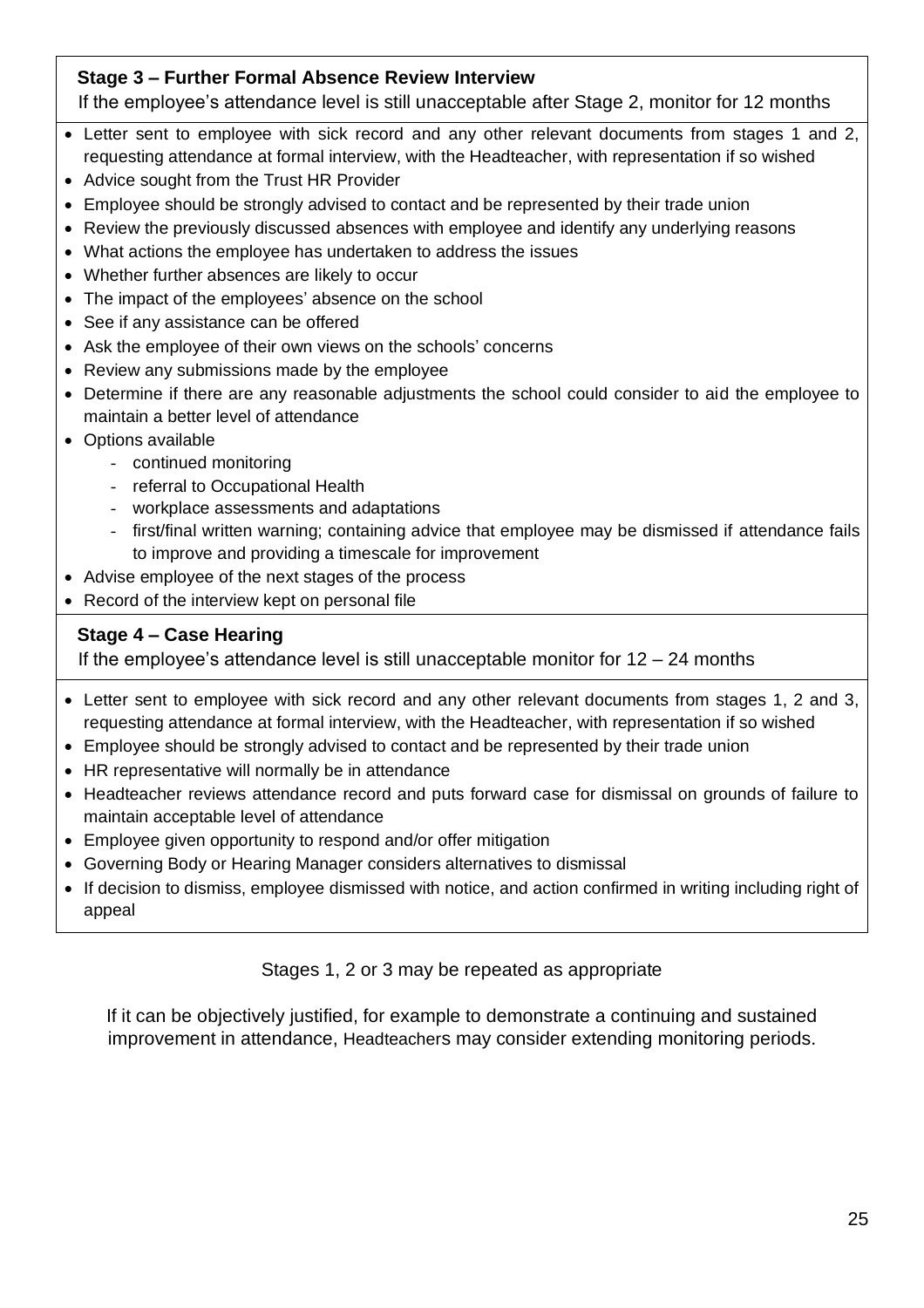#### **Stage 3 – Further Formal Absence Review Interview**

If the employee's attendance level is still unacceptable after Stage 2, monitor for 12 months

- Letter sent to employee with sick record and any other relevant documents from stages 1 and 2, requesting attendance at formal interview, with the Headteacher, with representation if so wished
- Advice sought from the Trust HR Provider
- Employee should be strongly advised to contact and be represented by their trade union
- Review the previously discussed absences with employee and identify any underlying reasons
- What actions the employee has undertaken to address the issues
- Whether further absences are likely to occur
- The impact of the employees' absence on the school
- See if any assistance can be offered
- Ask the employee of their own views on the schools' concerns
- Review any submissions made by the employee
- Determine if there are any reasonable adjustments the school could consider to aid the employee to maintain a better level of attendance
- Options available
	- continued monitoring
	- referral to Occupational Health
	- workplace assessments and adaptations
	- first/final written warning; containing advice that employee may be dismissed if attendance fails to improve and providing a timescale for improvement
- Advise employee of the next stages of the process
- Record of the interview kept on personal file

#### **Stage 4 – Case Hearing**

If the employee's attendance level is still unacceptable monitor for  $12 - 24$  months

- Letter sent to employee with sick record and any other relevant documents from stages 1, 2 and 3, requesting attendance at formal interview, with the Headteacher, with representation if so wished
- Employee should be strongly advised to contact and be represented by their trade union
- HR representative will normally be in attendance
- Headteacher reviews attendance record and puts forward case for dismissal on grounds of failure to maintain acceptable level of attendance
- Employee given opportunity to respond and/or offer mitigation
- Governing Body or Hearing Manager considers alternatives to dismissal
- If decision to dismiss, employee dismissed with notice, and action confirmed in writing including right of appeal

Stages 1, 2 or 3 may be repeated as appropriate

If it can be objectively justified, for example to demonstrate a continuing and sustained improvement in attendance, Headteachers may consider extending monitoring periods.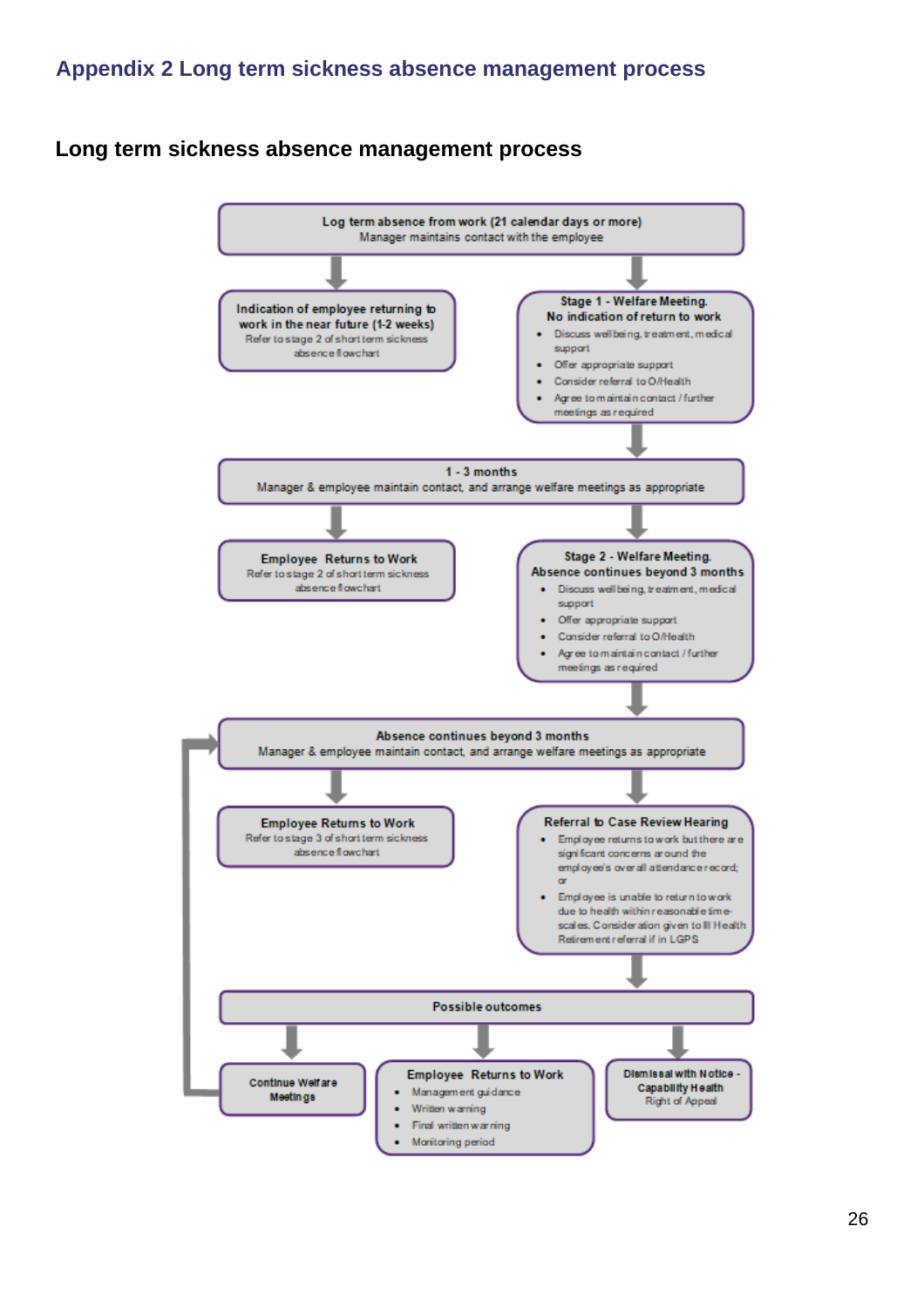#### <span id="page-25-0"></span>**Long term sickness absence management process**

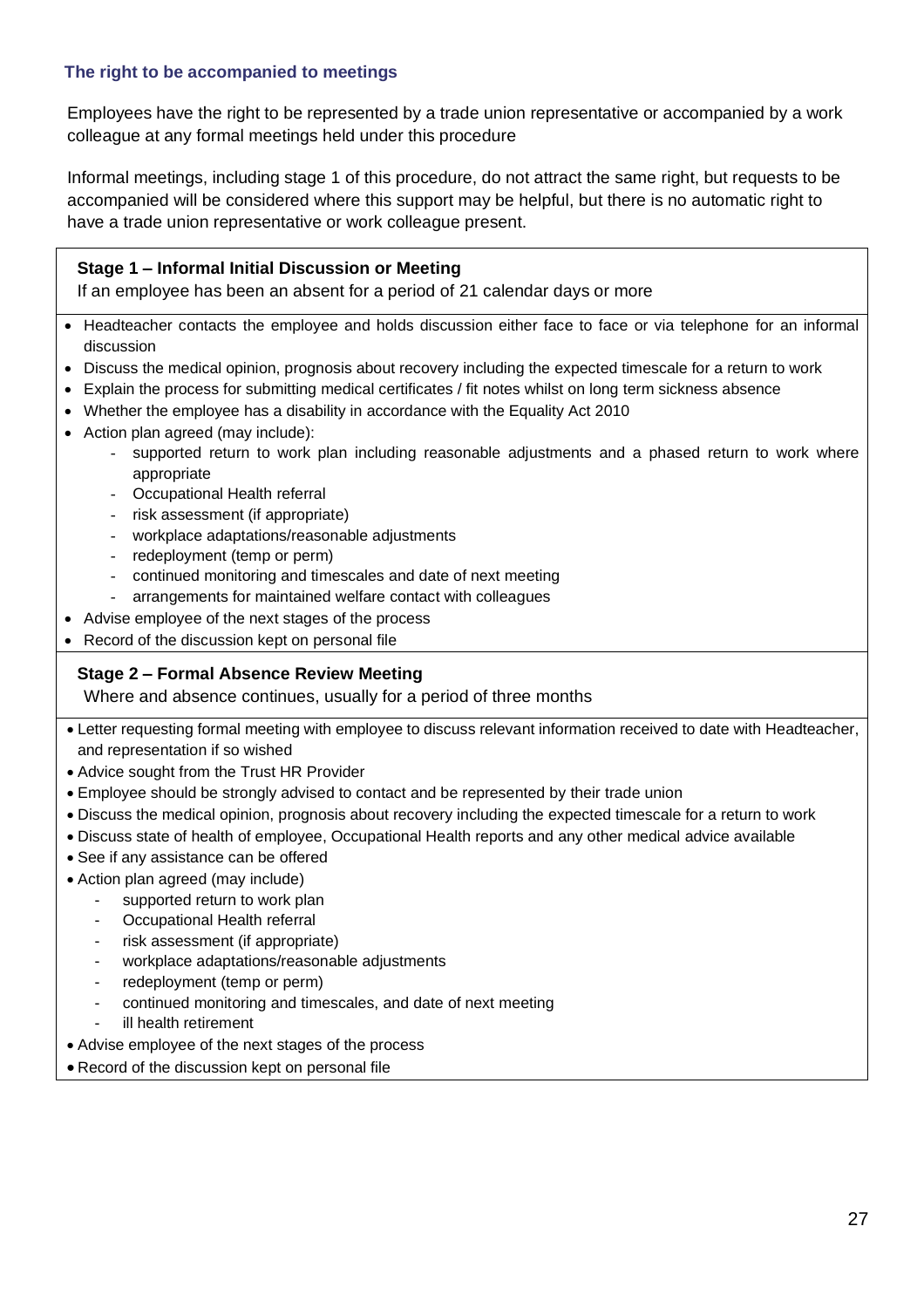#### **The right to be accompanied to meetings**

Employees have the right to be represented by a trade union representative or accompanied by a work colleague at any formal meetings held under this procedure

Informal meetings, including stage 1 of this procedure, do not attract the same right, but requests to be accompanied will be considered where this support may be helpful, but there is no automatic right to have a trade union representative or work colleague present.

#### **Stage 1 – Informal Initial Discussion or Meeting**

If an employee has been an absent for a period of 21 calendar days or more

- Headteacher contacts the employee and holds discussion either face to face or via telephone for an informal discussion
- Discuss the medical opinion, prognosis about recovery including the expected timescale for a return to work
- Explain the process for submitting medical certificates / fit notes whilst on long term sickness absence
- Whether the employee has a disability in accordance with the Equality Act 2010
- Action plan agreed (may include):
	- supported return to work plan including reasonable adjustments and a phased return to work where appropriate
	- Occupational Health referral
	- risk assessment (if appropriate)
	- workplace adaptations/reasonable adjustments
	- redeployment (temp or perm)
	- continued monitoring and timescales and date of next meeting
	- arrangements for maintained welfare contact with colleagues
- Advise employee of the next stages of the process
- Record of the discussion kept on personal file

#### **Stage 2 – Formal Absence Review Meeting**

Where and absence continues, usually for a period of three months

- Letter requesting formal meeting with employee to discuss relevant information received to date with Headteacher, and representation if so wished
- Advice sought from the Trust HR Provider
- Employee should be strongly advised to contact and be represented by their trade union
- Discuss the medical opinion, prognosis about recovery including the expected timescale for a return to work
- Discuss state of health of employee, Occupational Health reports and any other medical advice available
- See if any assistance can be offered
- Action plan agreed (may include)
	- supported return to work plan
	- Occupational Health referral
	- risk assessment (if appropriate)
	- workplace adaptations/reasonable adjustments
	- redeployment (temp or perm)
	- continued monitoring and timescales, and date of next meeting
	- ill health retirement
- Advise employee of the next stages of the process
- Record of the discussion kept on personal file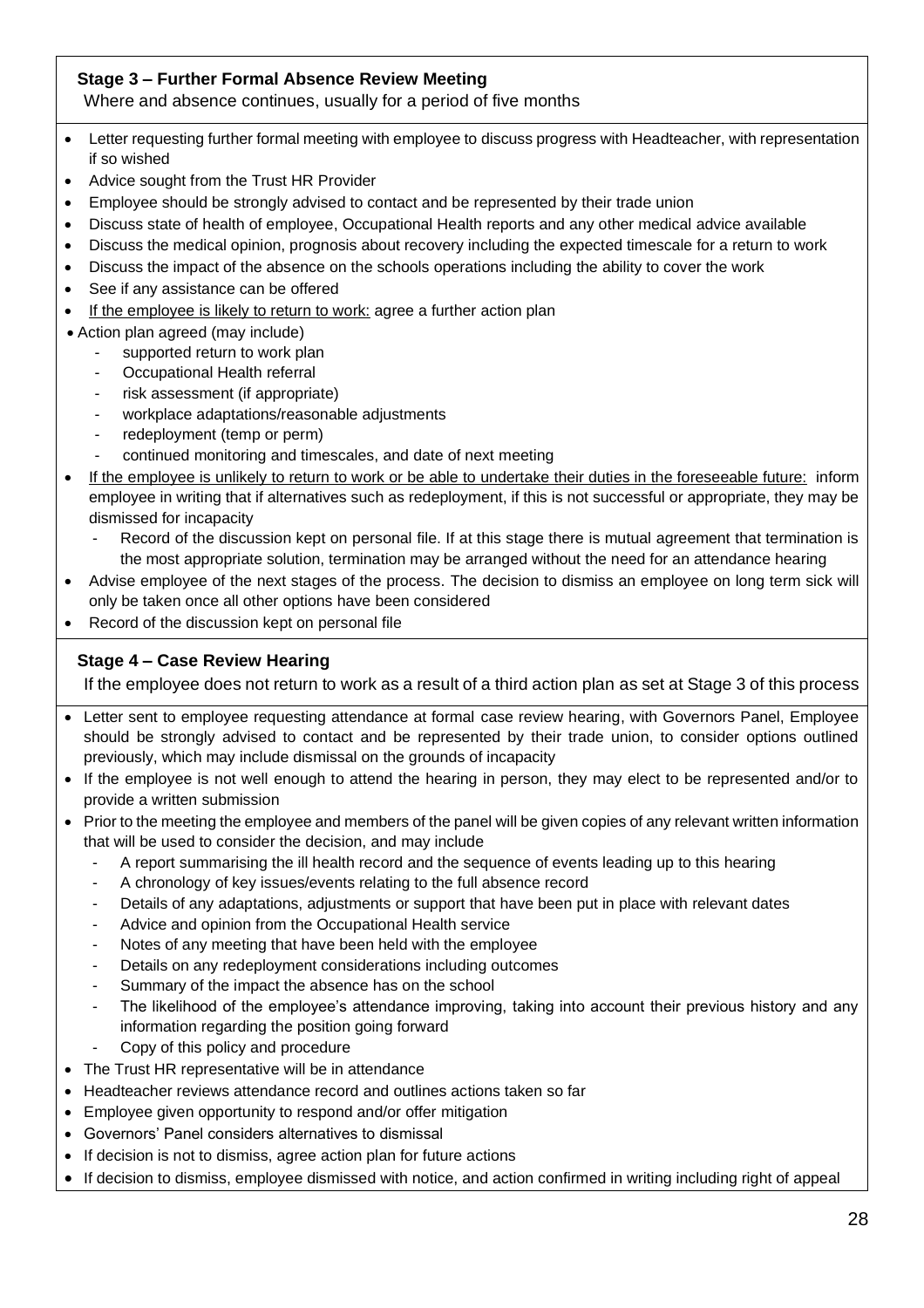#### **Stage 3 – Further Formal Absence Review Meeting**

Where and absence continues, usually for a period of five months

- Letter requesting further formal meeting with employee to discuss progress with Headteacher, with representation if so wished
- Advice sought from the Trust HR Provider
- Employee should be strongly advised to contact and be represented by their trade union
- Discuss state of health of employee, Occupational Health reports and any other medical advice available
- Discuss the medical opinion, prognosis about recovery including the expected timescale for a return to work
- Discuss the impact of the absence on the schools operations including the ability to cover the work
- See if any assistance can be offered
- If the employee is likely to return to work: agree a further action plan
- Action plan agreed (may include)
	- supported return to work plan
	- Occupational Health referral
	- risk assessment (if appropriate)
	- workplace adaptations/reasonable adjustments
	- redeployment (temp or perm)
	- continued monitoring and timescales, and date of next meeting
- If the employee is unlikely to return to work or be able to undertake their duties in the foreseeable future: inform employee in writing that if alternatives such as redeployment, if this is not successful or appropriate, they may be dismissed for incapacity
	- Record of the discussion kept on personal file. If at this stage there is mutual agreement that termination is the most appropriate solution, termination may be arranged without the need for an attendance hearing
- Advise employee of the next stages of the process. The decision to dismiss an employee on long term sick will only be taken once all other options have been considered
- Record of the discussion kept on personal file

#### **Stage 4 – Case Review Hearing**

If the employee does not return to work as a result of a third action plan as set at Stage 3 of this process

- Letter sent to employee requesting attendance at formal case review hearing, with Governors Panel, Employee should be strongly advised to contact and be represented by their trade union, to consider options outlined previously, which may include dismissal on the grounds of incapacity
- If the employee is not well enough to attend the hearing in person, they may elect to be represented and/or to provide a written submission
- Prior to the meeting the employee and members of the panel will be given copies of any relevant written information that will be used to consider the decision, and may include
	- A report summarising the ill health record and the sequence of events leading up to this hearing
	- A chronology of key issues/events relating to the full absence record
	- Details of any adaptations, adjustments or support that have been put in place with relevant dates
	- Advice and opinion from the Occupational Health service
	- Notes of any meeting that have been held with the employee
	- Details on any redeployment considerations including outcomes
	- Summary of the impact the absence has on the school
	- The likelihood of the employee's attendance improving, taking into account their previous history and any information regarding the position going forward
	- Copy of this policy and procedure
- The Trust HR representative will be in attendance
- Headteacher reviews attendance record and outlines actions taken so far
- Employee given opportunity to respond and/or offer mitigation
- Governors' Panel considers alternatives to dismissal
- If decision is not to dismiss, agree action plan for future actions
- If decision to dismiss, employee dismissed with notice, and action confirmed in writing including right of appeal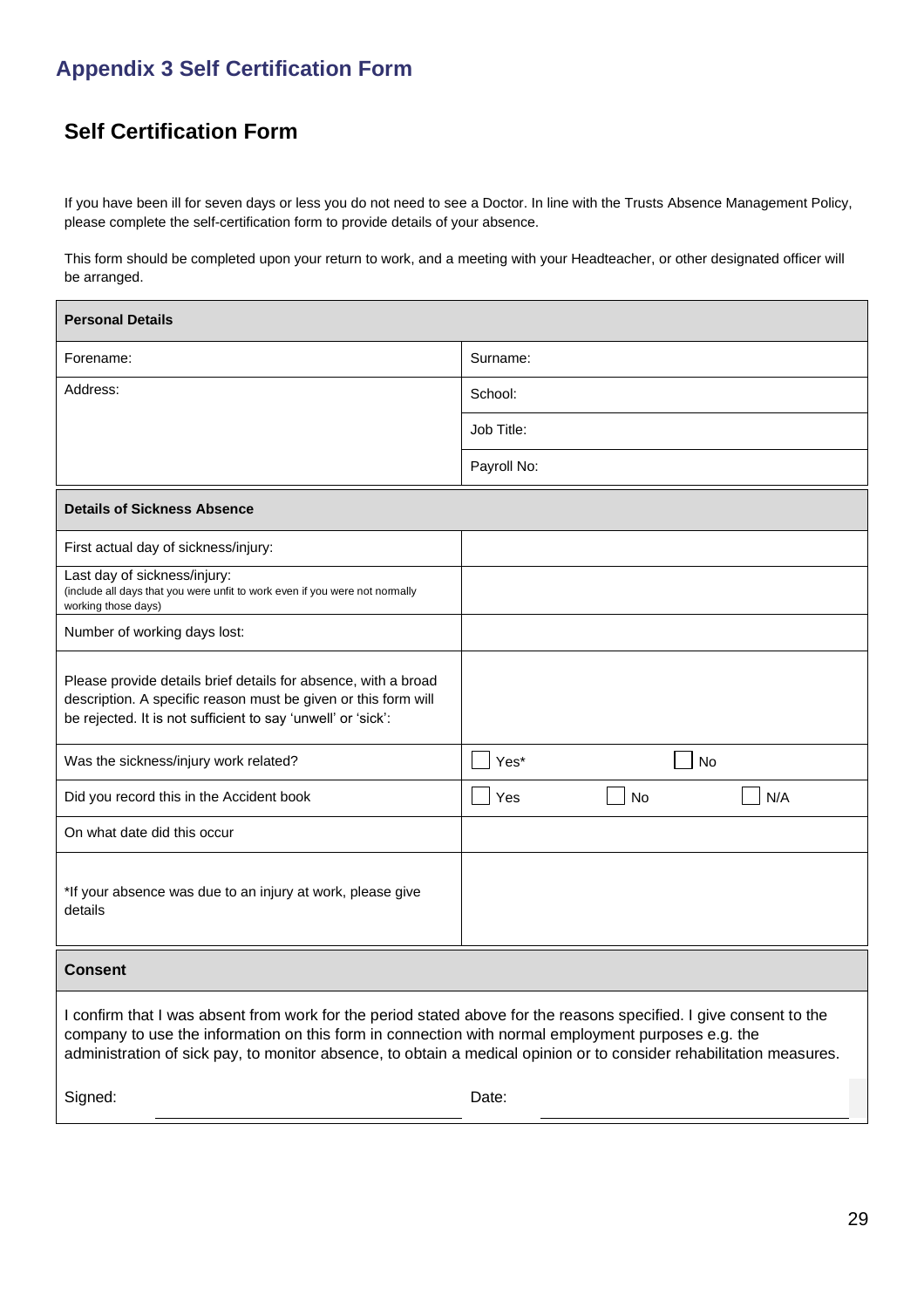## <span id="page-28-0"></span>**Appendix 3 Self Certification Form**

## **Self Certification Form**

If you have been ill for seven days or less you do not need to see a Doctor. In line with the Trusts Absence Management Policy, please complete the self-certification form to provide details of your absence.

This form should be completed upon your return to work, and a meeting with your Headteacher, or other designated officer will be arranged.

| <b>Personal Details</b>                                                                                                                                                                                                                                                                                                                         |                  |  |  |
|-------------------------------------------------------------------------------------------------------------------------------------------------------------------------------------------------------------------------------------------------------------------------------------------------------------------------------------------------|------------------|--|--|
| Forename:                                                                                                                                                                                                                                                                                                                                       | Surname:         |  |  |
| Address:                                                                                                                                                                                                                                                                                                                                        | School:          |  |  |
|                                                                                                                                                                                                                                                                                                                                                 | Job Title:       |  |  |
|                                                                                                                                                                                                                                                                                                                                                 | Payroll No:      |  |  |
| <b>Details of Sickness Absence</b>                                                                                                                                                                                                                                                                                                              |                  |  |  |
| First actual day of sickness/injury:                                                                                                                                                                                                                                                                                                            |                  |  |  |
| Last day of sickness/injury:<br>(include all days that you were unfit to work even if you were not normally<br>working those days)                                                                                                                                                                                                              |                  |  |  |
| Number of working days lost:                                                                                                                                                                                                                                                                                                                    |                  |  |  |
| Please provide details brief details for absence, with a broad<br>description. A specific reason must be given or this form will<br>be rejected. It is not sufficient to say 'unwell' or 'sick':                                                                                                                                                |                  |  |  |
| Was the sickness/injury work related?                                                                                                                                                                                                                                                                                                           | Yes*<br>No       |  |  |
| Did you record this in the Accident book                                                                                                                                                                                                                                                                                                        | N/A<br>Yes<br>No |  |  |
| On what date did this occur                                                                                                                                                                                                                                                                                                                     |                  |  |  |
| *If your absence was due to an injury at work, please give<br>details                                                                                                                                                                                                                                                                           |                  |  |  |
| <b>Consent</b>                                                                                                                                                                                                                                                                                                                                  |                  |  |  |
| I confirm that I was absent from work for the period stated above for the reasons specified. I give consent to the<br>company to use the information on this form in connection with normal employment purposes e.g. the<br>administration of sick pay, to monitor absence, to obtain a medical opinion or to consider rehabilitation measures. |                  |  |  |
| Signed:                                                                                                                                                                                                                                                                                                                                         | Date:            |  |  |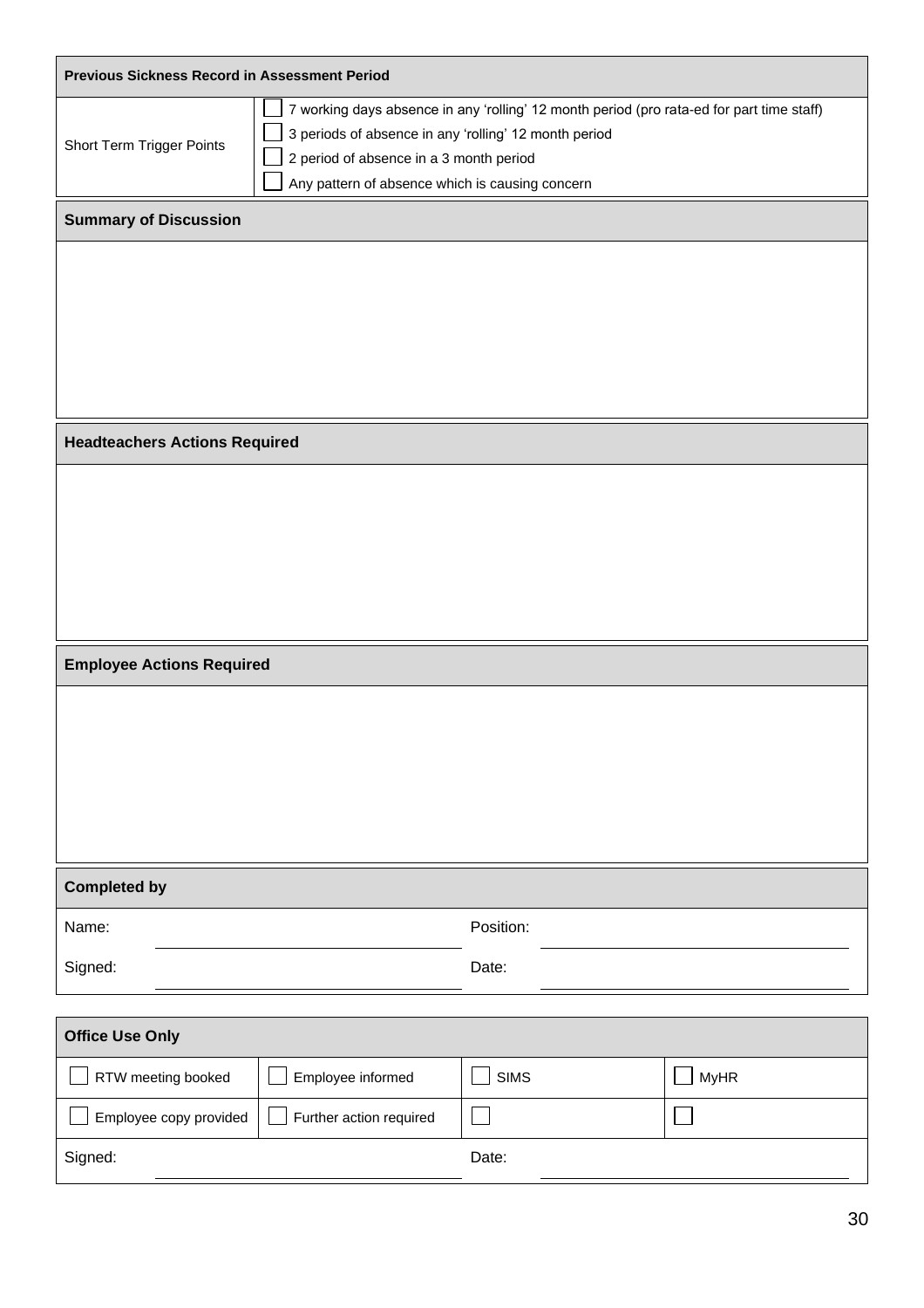| <b>Previous Sickness Record in Assessment Period</b>                                                                                                                                                                                                                          |                         |             |             |  |
|-------------------------------------------------------------------------------------------------------------------------------------------------------------------------------------------------------------------------------------------------------------------------------|-------------------------|-------------|-------------|--|
| 7 working days absence in any 'rolling' 12 month period (pro rata-ed for part time staff)<br>3 periods of absence in any 'rolling' 12 month period<br>Short Term Trigger Points<br>2 period of absence in a 3 month period<br>Any pattern of absence which is causing concern |                         |             |             |  |
| <b>Summary of Discussion</b>                                                                                                                                                                                                                                                  |                         |             |             |  |
|                                                                                                                                                                                                                                                                               |                         |             |             |  |
| <b>Headteachers Actions Required</b>                                                                                                                                                                                                                                          |                         |             |             |  |
|                                                                                                                                                                                                                                                                               |                         |             |             |  |
| <b>Employee Actions Required</b>                                                                                                                                                                                                                                              |                         |             |             |  |
|                                                                                                                                                                                                                                                                               |                         |             |             |  |
| <b>Completed by</b>                                                                                                                                                                                                                                                           |                         |             |             |  |
| Name:                                                                                                                                                                                                                                                                         |                         | Position:   |             |  |
| Signed:                                                                                                                                                                                                                                                                       |                         | Date:       |             |  |
| <b>Office Use Only</b>                                                                                                                                                                                                                                                        |                         |             |             |  |
| RTW meeting booked                                                                                                                                                                                                                                                            | Employee informed       | <b>SIMS</b> | <b>MyHR</b> |  |
| Employee copy provided                                                                                                                                                                                                                                                        | Further action required |             |             |  |
| Signed:                                                                                                                                                                                                                                                                       |                         | Date:       |             |  |